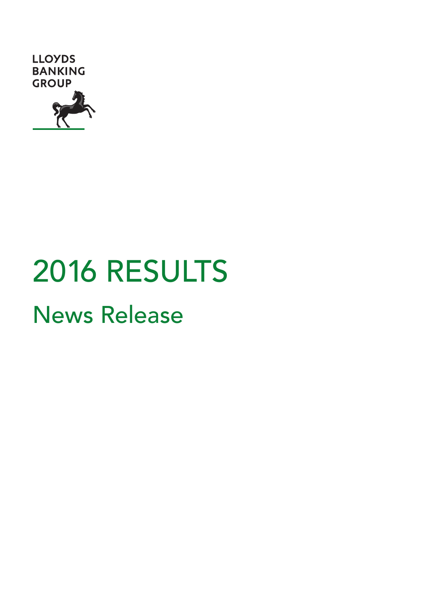

# 2016 RESULTS

News Release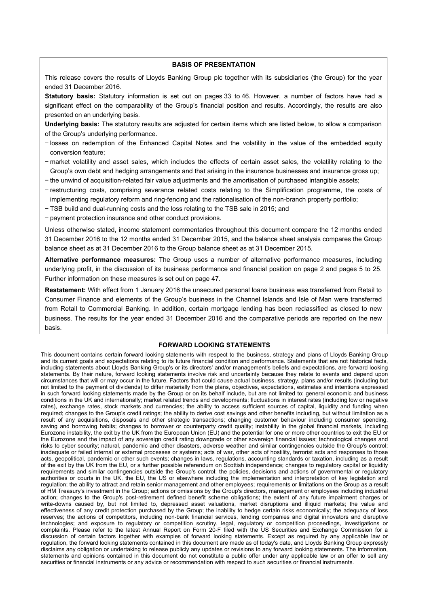#### **BASIS OF PRESENTATION**

This release covers the results of Lloyds Banking Group plc together with its subsidiaries (the Group) for the year ended 31 December 2016.

**Statutory basis:** Statutory information is set out on pages 33 to 46. However, a number of factors have had a significant effect on the comparability of the Group's financial position and results. Accordingly, the results are also presented on an underlying basis.

**Underlying basis:** The statutory results are adjusted for certain items which are listed below, to allow a comparison of the Group's underlying performance.

- − losses on redemption of the Enhanced Capital Notes and the volatility in the value of the embedded equity conversion feature;
- − market volatility and asset sales, which includes the effects of certain asset sales, the volatility relating to the Group's own debt and hedging arrangements and that arising in the insurance businesses and insurance gross up;
- − the unwind of acquisition-related fair value adjustments and the amortisation of purchased intangible assets;
- − restructuring costs, comprising severance related costs relating to the Simplification programme, the costs of implementing regulatory reform and ring-fencing and the rationalisation of the non-branch property portfolio;
- − TSB build and dual-running costs and the loss relating to the TSB sale in 2015; and
- − payment protection insurance and other conduct provisions.

Unless otherwise stated, income statement commentaries throughout this document compare the 12 months ended 31 December 2016 to the 12 months ended 31 December 2015, and the balance sheet analysis compares the Group balance sheet as at 31 December 2016 to the Group balance sheet as at 31 December 2015.

**Alternative performance measures:** The Group uses a number of alternative performance measures, including underlying profit, in the discussion of its business performance and financial position on page 2 and pages 5 to 25. Further information on these measures is set out on page 47.

**Restatement:** With effect from 1 January 2016 the unsecured personal loans business was transferred from Retail to Consumer Finance and elements of the Group's business in the Channel Islands and Isle of Man were transferred from Retail to Commercial Banking. In addition, certain mortgage lending has been reclassified as closed to new business. The results for the year ended 31 December 2016 and the comparative periods are reported on the new basis.

#### **FORWARD LOOKING STATEMENTS**

This document contains certain forward looking statements with respect to the business, strategy and plans of Lloyds Banking Group and its current goals and expectations relating to its future financial condition and performance. Statements that are not historical facts, including statements about Lloyds Banking Group's or its directors' and/or management's beliefs and expectations, are forward looking statements. By their nature, forward looking statements involve risk and uncertainty because they relate to events and depend upon circumstances that will or may occur in the future. Factors that could cause actual business, strategy, plans and/or results (including but not limited to the payment of dividends) to differ materially from the plans, objectives, expectations, estimates and intentions expressed in such forward looking statements made by the Group or on its behalf include, but are not limited to: general economic and business conditions in the UK and internationally; market related trends and developments; fluctuations in interest rates (including low or negative rates), exchange rates, stock markets and currencies; the ability to access sufficient sources of capital, liquidity and funding when required; changes to the Group's credit ratings; the ability to derive cost savings and other benefits including, but without limitation as a result of any acquisitions, disposals and other strategic transactions; changing customer behaviour including consumer spending, saving and borrowing habits; changes to borrower or counterparty credit quality; instability in the global financial markets, including Eurozone instability, the exit by the UK from the European Union (EU) and the potential for one or more other countries to exit the EU or the Eurozone and the impact of any sovereign credit rating downgrade or other sovereign financial issues; technological changes and risks to cyber security; natural, pandemic and other disasters, adverse weather and similar contingencies outside the Group's control; inadequate or failed internal or external processes or systems; acts of war, other acts of hostility, terrorist acts and responses to those acts, geopolitical, pandemic or other such events; changes in laws, regulations, accounting standards or taxation, including as a result of the exit by the UK from the EU, or a further possible referendum on Scottish independence; changes to regulatory capital or liquidity requirements and similar contingencies outside the Group's control; the policies, decisions and actions of governmental or regulatory authorities or courts in the UK, the EU, the US or elsewhere including the implementation and interpretation of key legislation and regulation; the ability to attract and retain senior management and other employees; requirements or limitations on the Group as a result of HM Treasury's investment in the Group; actions or omissions by the Group's directors, management or employees including industrial action; changes to the Group's post-retirement defined benefit scheme obligations; the extent of any future impairment charges or write-downs caused by, but not limited to, depressed asset valuations, market disruptions and illiquid markets; the value and effectiveness of any credit protection purchased by the Group; the inability to hedge certain risks economically; the adequacy of loss reserves; the actions of competitors, including non-bank financial services, lending companies and digital innovators and disruptive technologies; and exposure to regulatory or competition scrutiny, legal, regulatory or competition proceedings, investigations or complaints. Please refer to the latest Annual Report on Form 20-F filed with the US Securities and Exchange Commission for a discussion of certain factors together with examples of forward looking statements. Except as required by any applicable law or regulation, the forward looking statements contained in this document are made as of today's date, and Lloyds Banking Group expressly disclaims any obligation or undertaking to release publicly any updates or revisions to any forward looking statements. The information, statements and opinions contained in this document do not constitute a public offer under any applicable law or an offer to sell any securities or financial instruments or any advice or recommendation with respect to such securities or financial instruments.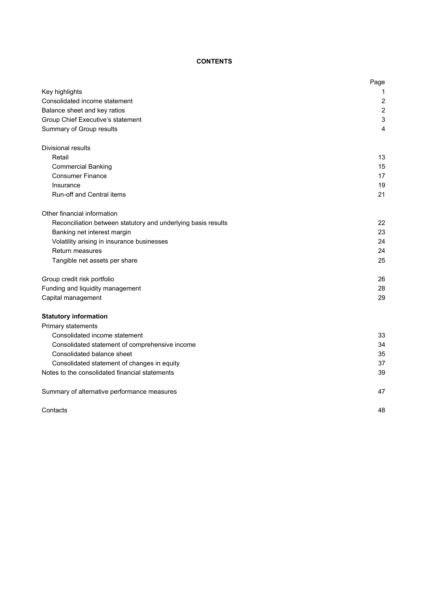# **CONTENTS**

|                                                               | Page           |
|---------------------------------------------------------------|----------------|
| Key highlights                                                | 1              |
| Consolidated income statement                                 | 2              |
| Balance sheet and key ratios                                  | $\overline{2}$ |
| Group Chief Executive's statement                             | 3              |
| Summary of Group results                                      | 4              |
| Divisional results                                            |                |
| Retail                                                        | 13             |
| <b>Commercial Banking</b>                                     | 15             |
| <b>Consumer Finance</b>                                       | 17             |
| Insurance                                                     | 19             |
| Run-off and Central items                                     | 21             |
| Other financial information                                   |                |
| Reconciliation between statutory and underlying basis results | 22             |
| Banking net interest margin                                   | 23             |
| Volatility arising in insurance businesses                    | 24             |
| Return measures                                               | 24             |
| Tangible net assets per share                                 | 25             |
| Group credit risk portfolio                                   | 26             |
| Funding and liquidity management                              | 28             |
| Capital management                                            | 29             |
| <b>Statutory information</b>                                  |                |
| Primary statements                                            |                |
| Consolidated income statement                                 | 33             |
| Consolidated statement of comprehensive income                | 34             |
| Consolidated balance sheet                                    | 35             |
| Consolidated statement of changes in equity                   | 37             |
| Notes to the consolidated financial statements                | 39             |
| Summary of alternative performance measures                   | 47             |
| Contacts                                                      | 48             |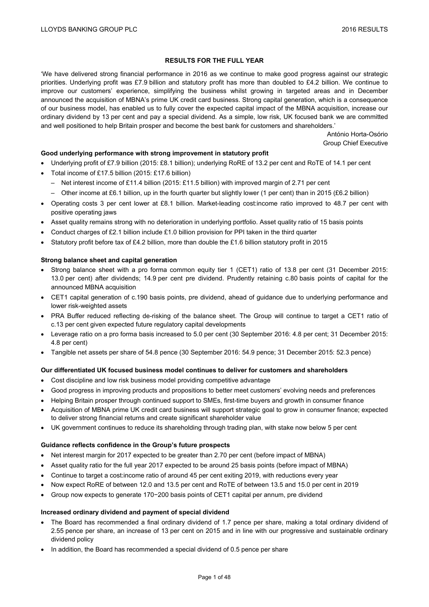## **RESULTS FOR THE FULL YEAR**

'We have delivered strong financial performance in 2016 as we continue to make good progress against our strategic priorities. Underlying profit was £7.9 billion and statutory profit has more than doubled to £4.2 billion. We continue to improve our customers' experience, simplifying the business whilst growing in targeted areas and in December announced the acquisition of MBNA's prime UK credit card business. Strong capital generation, which is a consequence of our business model, has enabled us to fully cover the expected capital impact of the MBNA acquisition, increase our ordinary dividend by 13 per cent and pay a special dividend. As a simple, low risk, UK focused bank we are committed and well positioned to help Britain prosper and become the best bank for customers and shareholders.'

> António Horta-Osório Group Chief Executive

## **Good underlying performance with strong improvement in statutory profit**

- Underlying profit of £7.9 billion (2015: £8.1 billion); underlying RoRE of 13.2 per cent and RoTE of 14.1 per cent
- Total income of £17.5 billion (2015: £17.6 billion)
	- Net interest income of £11.4 billion (2015: £11.5 billion) with improved margin of 2.71 per cent
	- Other income at £6.1 billion, up in the fourth quarter but slightly lower (1 per cent) than in 2015 (£6.2 billion)
- Operating costs 3 per cent lower at £8.1 billion. Market-leading cost:income ratio improved to 48.7 per cent with positive operating jaws
- Asset quality remains strong with no deterioration in underlying portfolio. Asset quality ratio of 15 basis points
- Conduct charges of £2.1 billion include £1.0 billion provision for PPI taken in the third quarter
- Statutory profit before tax of £4.2 billion, more than double the £1.6 billion statutory profit in 2015

## **Strong balance sheet and capital generation**

- Strong balance sheet with a pro forma common equity tier 1 (CET1) ratio of 13.8 per cent (31 December 2015: 13.0 per cent) after dividends; 14.9 per cent pre dividend. Prudently retaining c.80 basis points of capital for the announced MBNA acquisition
- CET1 capital generation of c.190 basis points, pre dividend, ahead of guidance due to underlying performance and lower risk-weighted assets
- PRA Buffer reduced reflecting de-risking of the balance sheet. The Group will continue to target a CET1 ratio of c.13 per cent given expected future regulatory capital developments
- Leverage ratio on a pro forma basis increased to 5.0 per cent (30 September 2016: 4.8 per cent; 31 December 2015: 4.8 per cent)
- Tangible net assets per share of 54.8 pence (30 September 2016: 54.9 pence; 31 December 2015: 52.3 pence)

## **Our differentiated UK focused business model continues to deliver for customers and shareholders**

- Cost discipline and low risk business model providing competitive advantage
- Good progress in improving products and propositions to better meet customers' evolving needs and preferences
- Helping Britain prosper through continued support to SMEs, first-time buyers and growth in consumer finance
- Acquisition of MBNA prime UK credit card business will support strategic goal to grow in consumer finance; expected to deliver strong financial returns and create significant shareholder value
- UK government continues to reduce its shareholding through trading plan, with stake now below 5 per cent

## **Guidance reflects confidence in the Group's future prospects**

- Net interest margin for 2017 expected to be greater than 2.70 per cent (before impact of MBNA)
- Asset quality ratio for the full year 2017 expected to be around 25 basis points (before impact of MBNA)
- Continue to target a cost:income ratio of around 45 per cent exiting 2019, with reductions every year
- Now expect RoRE of between 12.0 and 13.5 per cent and RoTE of between 13.5 and 15.0 per cent in 2019
- Group now expects to generate 170−200 basis points of CET1 capital per annum, pre dividend

## **Increased ordinary dividend and payment of special dividend**

- The Board has recommended a final ordinary dividend of 1.7 pence per share, making a total ordinary dividend of 2.55 pence per share, an increase of 13 per cent on 2015 and in line with our progressive and sustainable ordinary dividend policy
- In addition, the Board has recommended a special dividend of 0.5 pence per share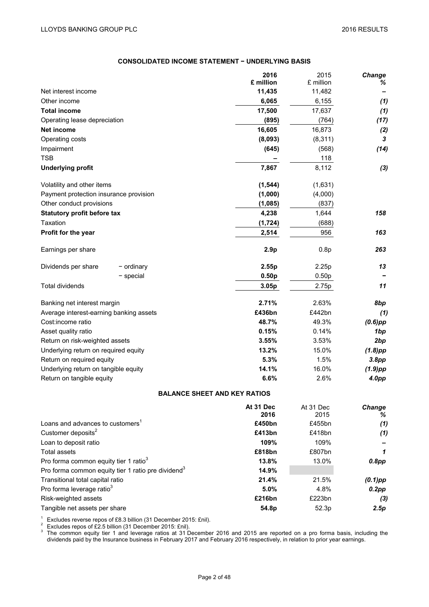## **CONSOLIDATED INCOME STATEMENT − UNDERLYING BASIS**

|                                              | 2016                                | 2015              | Change            |
|----------------------------------------------|-------------------------------------|-------------------|-------------------|
|                                              | £ million                           | £ million         | %                 |
| Net interest income                          | 11,435                              | 11,482            |                   |
| Other income                                 | 6,065                               | 6,155             | (1)               |
| <b>Total income</b>                          | 17,500                              | 17,637            | (1)               |
| Operating lease depreciation                 | (895)                               | (764)             | (17)              |
| Net income                                   | 16,605                              | 16,873            | (2)               |
| Operating costs                              | (8,093)                             | (8, 311)          | 3                 |
| Impairment                                   | (645)                               | (568)             | (14)              |
| <b>TSB</b>                                   |                                     | 118               |                   |
| <b>Underlying profit</b>                     | 7,867                               | 8,112             | (3)               |
| Volatility and other items                   | (1, 544)                            | (1,631)           |                   |
| Payment protection insurance provision       | (1,000)                             | (4,000)           |                   |
| Other conduct provisions                     | (1,085)                             | (837)             |                   |
| <b>Statutory profit before tax</b>           | 4,238                               | 1,644             | 158               |
| Taxation                                     | (1, 724)                            | (688)             |                   |
| <b>Profit for the year</b>                   | 2,514                               | 956               | 163               |
| Earnings per share                           | 2.9 <sub>p</sub>                    | 0.8p              | 263               |
| Dividends per share<br>- ordinary            | 2.55p                               | 2.25p             | 13                |
| $-$ special                                  | 0.50 <sub>p</sub>                   | 0.50 <sub>p</sub> |                   |
| <b>Total dividends</b>                       | 3.05p                               | 2.75p             | 11                |
| Banking net interest margin                  | 2.71%                               | 2.63%             | 8bp               |
| Average interest-earning banking assets      | £436bn                              | £442bn            | (1)               |
| Cost:income ratio                            | 48.7%                               | 49.3%             | $(0.6)$ pp        |
| Asset quality ratio                          | 0.15%                               | 0.14%             | 1bp               |
| Return on risk-weighted assets               | 3.55%                               | 3.53%             | 2bp               |
| Underlying return on required equity         | 13.2%                               | 15.0%             | $(1.8)$ pp        |
| Return on required equity                    | 5.3%                                | 1.5%              | 3.8pp             |
| Underlying return on tangible equity         | 14.1%                               | 16.0%             | $(1.9)$ pp        |
| Return on tangible equity                    | 6.6%                                | 2.6%              | 4.0 <sub>pp</sub> |
|                                              | <b>BALANCE SHEET AND KEY RATIOS</b> |                   |                   |
|                                              | At 31 Dec                           | At 31 Dec         | Change            |
| Loans and advances to customers <sup>1</sup> | 2016<br>£450bn                      | 2015<br>£455bn    | ℅                 |
| Customer deposits <sup>2</sup>               | £413bn                              |                   | (1)               |
|                                              |                                     | £418bn            | (1)               |

| Customer deposits                                              | £413DN | £418DN | (7)        |
|----------------------------------------------------------------|--------|--------|------------|
| Loan to deposit ratio                                          | 109%   | 109%   |            |
| Total assets                                                   | £818bn | £807bn | 1          |
| Pro forma common equity tier 1 ratio <sup>3</sup>              | 13.8%  | 13.0%  | $0.8$ pp   |
| Pro forma common equity tier 1 ratio pre dividend <sup>3</sup> | 14.9%  |        |            |
| Transitional total capital ratio                               | 21.4%  | 21.5%  | $(0.1)$ pp |
| Pro forma leverage ratio <sup>3</sup>                          | 5.0%   | 4.8%   | $0.2$ pp   |
| Risk-weighted assets                                           | £216bn | £223bn | (3)        |
| Tangible net assets per share                                  | 54.8p  | 52.3p  | 2.5p       |
|                                                                |        |        |            |

<sup>1</sup> Excludes reverse repos of £8.3 billion (31 December 2015: £nil).<br><sup>2</sup> Excludes repos of £2.5 billion (31 December 2015: £nil).<br><sup>3</sup> The common equity tier 1 and leverage ratios at 31 December 2016 and 2015 are reported o dividends paid by the Insurance business in February 2017 and February 2016 respectively, in relation to prior year earnings.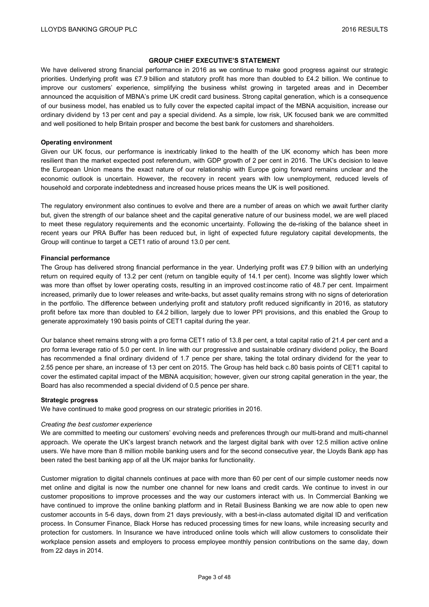## **GROUP CHIEF EXECUTIVE'S STATEMENT**

We have delivered strong financial performance in 2016 as we continue to make good progress against our strategic priorities. Underlying profit was £7.9 billion and statutory profit has more than doubled to £4.2 billion. We continue to improve our customers' experience, simplifying the business whilst growing in targeted areas and in December announced the acquisition of MBNA's prime UK credit card business. Strong capital generation, which is a consequence of our business model, has enabled us to fully cover the expected capital impact of the MBNA acquisition, increase our ordinary dividend by 13 per cent and pay a special dividend. As a simple, low risk, UK focused bank we are committed and well positioned to help Britain prosper and become the best bank for customers and shareholders.

#### **Operating environment**

Given our UK focus, our performance is inextricably linked to the health of the UK economy which has been more resilient than the market expected post referendum, with GDP growth of 2 per cent in 2016. The UK's decision to leave the European Union means the exact nature of our relationship with Europe going forward remains unclear and the economic outlook is uncertain. However, the recovery in recent years with low unemployment, reduced levels of household and corporate indebtedness and increased house prices means the UK is well positioned.

The regulatory environment also continues to evolve and there are a number of areas on which we await further clarity but, given the strength of our balance sheet and the capital generative nature of our business model, we are well placed to meet these regulatory requirements and the economic uncertainty. Following the de-risking of the balance sheet in recent years our PRA Buffer has been reduced but, in light of expected future regulatory capital developments, the Group will continue to target a CET1 ratio of around 13.0 per cent.

## **Financial performance**

The Group has delivered strong financial performance in the year. Underlying profit was £7.9 billion with an underlying return on required equity of 13.2 per cent (return on tangible equity of 14.1 per cent). Income was slightly lower which was more than offset by lower operating costs, resulting in an improved cost:income ratio of 48.7 per cent. Impairment increased, primarily due to lower releases and write-backs, but asset quality remains strong with no signs of deterioration in the portfolio. The difference between underlying profit and statutory profit reduced significantly in 2016, as statutory profit before tax more than doubled to £4.2 billion, largely due to lower PPI provisions, and this enabled the Group to generate approximately 190 basis points of CET1 capital during the year.

Our balance sheet remains strong with a pro forma CET1 ratio of 13.8 per cent, a total capital ratio of 21.4 per cent and a pro forma leverage ratio of 5.0 per cent. In line with our progressive and sustainable ordinary dividend policy, the Board has recommended a final ordinary dividend of 1.7 pence per share, taking the total ordinary dividend for the year to 2.55 pence per share, an increase of 13 per cent on 2015. The Group has held back c.80 basis points of CET1 capital to cover the estimated capital impact of the MBNA acquisition; however, given our strong capital generation in the year, the Board has also recommended a special dividend of 0.5 pence per share.

#### **Strategic progress**

We have continued to make good progress on our strategic priorities in 2016.

#### *Creating the best customer experience*

We are committed to meeting our customers' evolving needs and preferences through our multi-brand and multi-channel approach. We operate the UK's largest branch network and the largest digital bank with over 12.5 million active online users. We have more than 8 million mobile banking users and for the second consecutive year, the Lloyds Bank app has been rated the best banking app of all the UK major banks for functionality.

Customer migration to digital channels continues at pace with more than 60 per cent of our simple customer needs now met online and digital is now the number one channel for new loans and credit cards. We continue to invest in our customer propositions to improve processes and the way our customers interact with us. In Commercial Banking we have continued to improve the online banking platform and in Retail Business Banking we are now able to open new customer accounts in 5-6 days, down from 21 days previously, with a best-in-class automated digital ID and verification process. In Consumer Finance, Black Horse has reduced processing times for new loans, while increasing security and protection for customers. In Insurance we have introduced online tools which will allow customers to consolidate their workplace pension assets and employers to process employee monthly pension contributions on the same day, down from 22 days in 2014.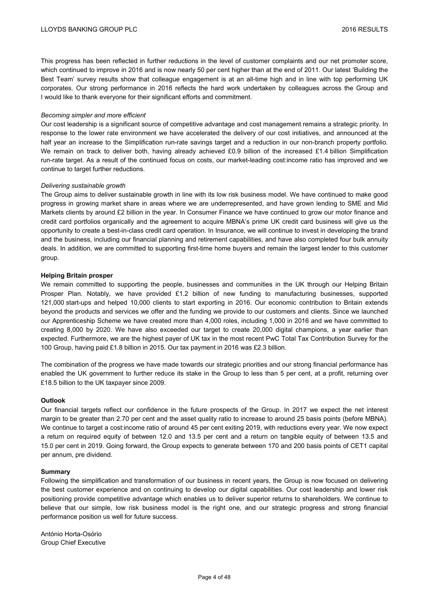This progress has been reflected in further reductions in the level of customer complaints and our net promoter score, which continued to improve in 2016 and is now nearly 50 per cent higher than at the end of 2011. Our latest 'Building the Best Team' survey results show that colleague engagement is at an all-time high and in line with top performing UK corporates. Our strong performance in 2016 reflects the hard work undertaken by colleagues across the Group and I would like to thank everyone for their significant efforts and commitment.

## *Becoming simpler and more efficient*

Our cost leadership is a significant source of competitive advantage and cost management remains a strategic priority. In response to the lower rate environment we have accelerated the delivery of our cost initiatives, and announced at the half year an increase to the Simplification run-rate savings target and a reduction in our non-branch property portfolio. We remain on track to deliver both, having already achieved £0.9 billion of the increased £1.4 billion Simplification run-rate target. As a result of the continued focus on costs, our market-leading cost:income ratio has improved and we continue to target further reductions.

#### *Delivering sustainable growth*

The Group aims to deliver sustainable growth in line with its low risk business model. We have continued to make good progress in growing market share in areas where we are underrepresented, and have grown lending to SME and Mid Markets clients by around £2 billion in the year. In Consumer Finance we have continued to grow our motor finance and credit card portfolios organically and the agreement to acquire MBNA's prime UK credit card business will give us the opportunity to create a best-in-class credit card operation. In Insurance, we will continue to invest in developing the brand and the business, including our financial planning and retirement capabilities, and have also completed four bulk annuity deals. In addition, we are committed to supporting first-time home buyers and remain the largest lender to this customer group.

#### **Helping Britain prosper**

We remain committed to supporting the people, businesses and communities in the UK through our Helping Britain Prosper Plan. Notably, we have provided £1.2 billion of new funding to manufacturing businesses, supported 121,000 start-ups and helped 10,000 clients to start exporting in 2016. Our economic contribution to Britain extends beyond the products and services we offer and the funding we provide to our customers and clients. Since we launched our Apprenticeship Scheme we have created more than 4,000 roles, including 1,000 in 2016 and we have committed to creating 8,000 by 2020. We have also exceeded our target to create 20,000 digital champions, a year earlier than expected. Furthermore, we are the highest payer of UK tax in the most recent PwC Total Tax Contribution Survey for the 100 Group, having paid £1.8 billion in 2015. Our tax payment in 2016 was £2.3 billion.

The combination of the progress we have made towards our strategic priorities and our strong financial performance has enabled the UK government to further reduce its stake in the Group to less than 5 per cent, at a profit, returning over £18.5 billion to the UK taxpayer since 2009.

#### **Outlook**

Our financial targets reflect our confidence in the future prospects of the Group. In 2017 we expect the net interest margin to be greater than 2.70 per cent and the asset quality ratio to increase to around 25 basis points (before MBNA). We continue to target a cost:income ratio of around 45 per cent exiting 2019, with reductions every year. We now expect a return on required equity of between 12.0 and 13.5 per cent and a return on tangible equity of between 13.5 and 15.0 per cent in 2019. Going forward, the Group expects to generate between 170 and 200 basis points of CET1 capital per annum, pre dividend.

#### **Summary**

Following the simplification and transformation of our business in recent years, the Group is now focused on delivering the best customer experience and on continuing to develop our digital capabilities. Our cost leadership and lower risk positioning provide competitive advantage which enables us to deliver superior returns to shareholders. We continue to believe that our simple, low risk business model is the right one, and our strategic progress and strong financial performance position us well for future success.

António Horta-Osório Group Chief Executive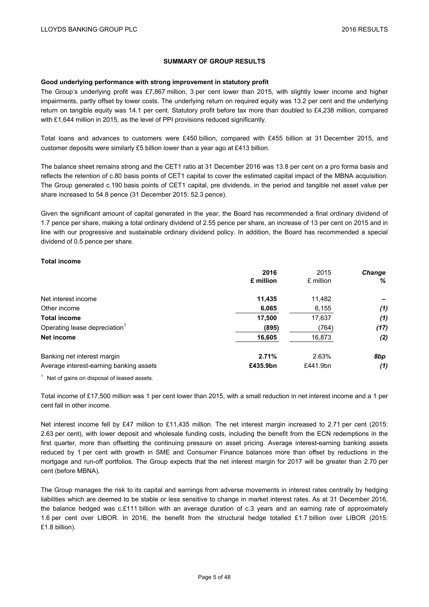## **SUMMARY OF GROUP RESULTS**

#### **Good underlying performance with strong improvement in statutory profit**

The Group's underlying profit was £7,867 million, 3 per cent lower than 2015, with slightly lower income and higher impairments, partly offset by lower costs. The underlying return on required equity was 13.2 per cent and the underlying return on tangible equity was 14.1 per cent. Statutory profit before tax more than doubled to £4,238 million, compared with £1,644 million in 2015, as the level of PPI provisions reduced significantly.

Total loans and advances to customers were £450 billion, compared with £455 billion at 31 December 2015, and customer deposits were similarly £5 billion lower than a year ago at £413 billion.

The balance sheet remains strong and the CET1 ratio at 31 December 2016 was 13.8 per cent on a pro forma basis and reflects the retention of c.80 basis points of CET1 capital to cover the estimated capital impact of the MBNA acquisition. The Group generated c.190 basis points of CET1 capital, pre dividends, in the period and tangible net asset value per share increased to 54.8 pence (31 December 2015: 52.3 pence).

Given the significant amount of capital generated in the year, the Board has recommended a final ordinary dividend of 1.7 pence per share, making a total ordinary dividend of 2.55 pence per share, an increase of 13 per cent on 2015 and in line with our progressive and sustainable ordinary dividend policy. In addition, the Board has recommended a special dividend of 0.5 pence per share.

## **Total income**

|                                           | 2016<br>£ million | 2015<br>£ million | <b>Change</b><br>% |
|-------------------------------------------|-------------------|-------------------|--------------------|
| Net interest income                       | 11,435            | 11,482            |                    |
| Other income                              | 6,065             | 6,155             | (1)                |
| <b>Total income</b>                       | 17,500            | 17,637            | (1)                |
| Operating lease depreciation <sup>1</sup> | (895)             | (764)             | (17)               |
| Net income                                | 16,605            | 16,873            | (2)                |
| Banking net interest margin               | 2.71%             | 2.63%             | 8bp                |
| Average interest-earning banking assets   | £435.9bn          | £441.9bn          | (1)                |

 $1$  Net of gains on disposal of leased assets.

Total income of £17,500 million was 1 per cent lower than 2015, with a small reduction in net interest income and a 1 per cent fall in other income.

Net interest income fell by £47 million to £11,435 million. The net interest margin increased to 2.71 per cent (2015: 2.63 per cent), with lower deposit and wholesale funding costs, including the benefit from the ECN redemptions in the first quarter, more than offsetting the continuing pressure on asset pricing. Average interest-earning banking assets reduced by 1 per cent with growth in SME and Consumer Finance balances more than offset by reductions in the mortgage and run-off portfolios. The Group expects that the net interest margin for 2017 will be greater than 2.70 per cent (before MBNA).

The Group manages the risk to its capital and earnings from adverse movements in interest rates centrally by hedging liabilities which are deemed to be stable or less sensitive to change in market interest rates. As at 31 December 2016, the balance hedged was c.£111 billion with an average duration of c.3 years and an earning rate of approximately 1.6 per cent over LIBOR. In 2016, the benefit from the structural hedge totalled £1.7 billion over LIBOR (2015: £1.8 billion).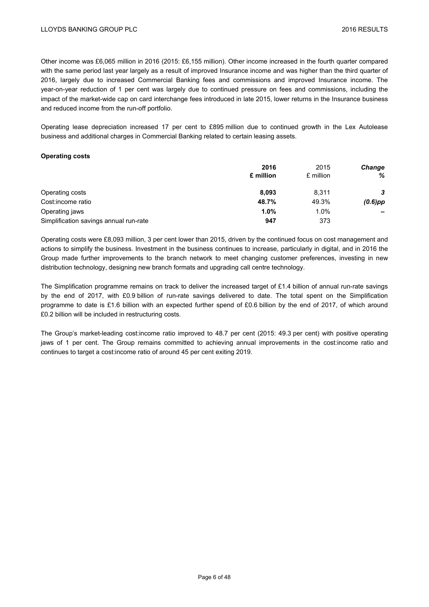Other income was £6,065 million in 2016 (2015: £6,155 million). Other income increased in the fourth quarter compared with the same period last year largely as a result of improved Insurance income and was higher than the third quarter of 2016, largely due to increased Commercial Banking fees and commissions and improved Insurance income. The year-on-year reduction of 1 per cent was largely due to continued pressure on fees and commissions, including the impact of the market-wide cap on card interchange fees introduced in late 2015, lower returns in the Insurance business and reduced income from the run-off portfolio.

Operating lease depreciation increased 17 per cent to £895 million due to continued growth in the Lex Autolease business and additional charges in Commercial Banking related to certain leasing assets.

## **Operating costs**

|                                        | 2016<br>£ million | 2015<br>£ million | <b>Change</b><br>% |
|----------------------------------------|-------------------|-------------------|--------------------|
|                                        |                   |                   |                    |
| Operating costs                        | 8.093             | 8,311             | 3                  |
| Cost:income ratio                      | 48.7%             | 49.3%             | $(0.6)$ pp         |
| Operating jaws                         | 1.0%              | 1.0%              |                    |
| Simplification savings annual run-rate | 947               | 373               |                    |

Operating costs were £8,093 million, 3 per cent lower than 2015, driven by the continued focus on cost management and actions to simplify the business. Investment in the business continues to increase, particularly in digital, and in 2016 the Group made further improvements to the branch network to meet changing customer preferences, investing in new distribution technology, designing new branch formats and upgrading call centre technology.

The Simplification programme remains on track to deliver the increased target of £1.4 billion of annual run-rate savings by the end of 2017, with £0.9 billion of run-rate savings delivered to date. The total spent on the Simplification programme to date is £1.6 billion with an expected further spend of £0.6 billion by the end of 2017, of which around £0.2 billion will be included in restructuring costs.

The Group's market-leading cost:income ratio improved to 48.7 per cent (2015: 49.3 per cent) with positive operating jaws of 1 per cent. The Group remains committed to achieving annual improvements in the cost:income ratio and continues to target a cost:income ratio of around 45 per cent exiting 2019.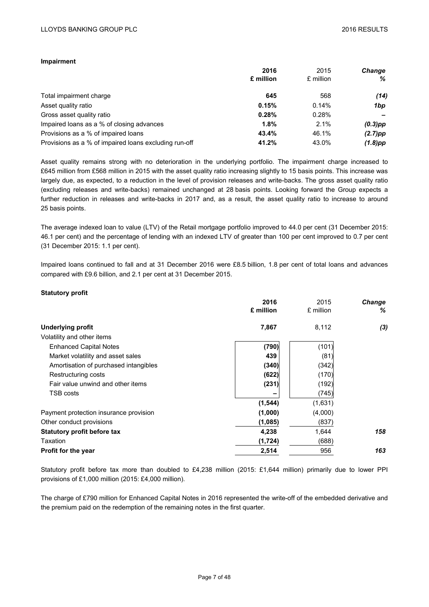## **Impairment**

|                                                       | 2016      | 2015      | <b>Change</b> |
|-------------------------------------------------------|-----------|-----------|---------------|
|                                                       | £ million | £ million | ℅             |
| Total impairment charge                               | 645       | 568       | (14)          |
| Asset quality ratio                                   | 0.15%     | 0.14%     | 1bp           |
| Gross asset quality ratio                             | 0.28%     | 0.28%     |               |
| Impaired loans as a % of closing advances             | 1.8%      | 2.1%      | $(0.3)$ pp    |
| Provisions as a % of impaired loans                   | 43.4%     | 46.1%     | $(2.7)$ pp    |
| Provisions as a % of impaired loans excluding run-off | 41.2%     | 43.0%     | $(1.8)$ pp    |

Asset quality remains strong with no deterioration in the underlying portfolio. The impairment charge increased to £645 million from £568 million in 2015 with the asset quality ratio increasing slightly to 15 basis points. This increase was largely due, as expected, to a reduction in the level of provision releases and write-backs. The gross asset quality ratio (excluding releases and write-backs) remained unchanged at 28 basis points. Looking forward the Group expects a further reduction in releases and write-backs in 2017 and, as a result, the asset quality ratio to increase to around 25 basis points.

The average indexed loan to value (LTV) of the Retail mortgage portfolio improved to 44.0 per cent (31 December 2015: 46.1 per cent) and the percentage of lending with an indexed LTV of greater than 100 per cent improved to 0.7 per cent (31 December 2015: 1.1 per cent).

Impaired loans continued to fall and at 31 December 2016 were £8.5 billion, 1.8 per cent of total loans and advances compared with £9.6 billion, and 2.1 per cent at 31 December 2015.

## **Statutory profit**

|                                        | 2016      | 2015      | <b>Change</b> |
|----------------------------------------|-----------|-----------|---------------|
|                                        | £ million | £ million | %             |
| <b>Underlying profit</b>               | 7,867     | 8,112     | (3)           |
| Volatility and other items             |           |           |               |
| <b>Enhanced Capital Notes</b>          | (790)     | (101)     |               |
| Market volatility and asset sales      | 439       | (81)      |               |
| Amortisation of purchased intangibles  | (340)     | (342)     |               |
| Restructuring costs                    | (622)     | (170)     |               |
| Fair value unwind and other items      | (231)     | (192)     |               |
| TSB costs                              |           | (745)     |               |
|                                        | (1, 544)  | (1,631)   |               |
| Payment protection insurance provision | (1,000)   | (4,000)   |               |
| Other conduct provisions               | (1,085)   | (837)     |               |
| <b>Statutory profit before tax</b>     | 4,238     | 1,644     | 158           |
| Taxation                               | (1, 724)  | (688)     |               |
| <b>Profit for the year</b>             | 2,514     | 956       | 163           |
|                                        |           |           |               |

Statutory profit before tax more than doubled to £4,238 million (2015: £1,644 million) primarily due to lower PPI provisions of £1,000 million (2015: £4,000 million).

The charge of £790 million for Enhanced Capital Notes in 2016 represented the write-off of the embedded derivative and the premium paid on the redemption of the remaining notes in the first quarter.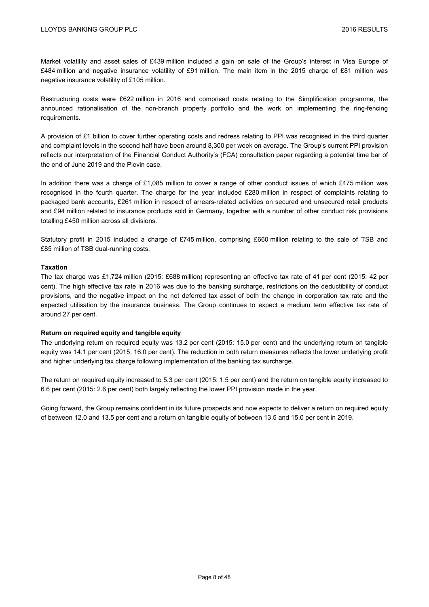Market volatility and asset sales of £439 million included a gain on sale of the Group's interest in Visa Europe of £484 million and negative insurance volatility of £91 million. The main item in the 2015 charge of £81 million was negative insurance volatility of £105 million.

Restructuring costs were £622 million in 2016 and comprised costs relating to the Simplification programme, the announced rationalisation of the non-branch property portfolio and the work on implementing the ring-fencing requirements.

A provision of £1 billion to cover further operating costs and redress relating to PPI was recognised in the third quarter and complaint levels in the second half have been around 8,300 per week on average. The Group's current PPI provision reflects our interpretation of the Financial Conduct Authority's (FCA) consultation paper regarding a potential time bar of the end of June 2019 and the Plevin case.

In addition there was a charge of £1,085 million to cover a range of other conduct issues of which £475 million was recognised in the fourth quarter. The charge for the year included £280 million in respect of complaints relating to packaged bank accounts, £261 million in respect of arrears-related activities on secured and unsecured retail products and £94 million related to insurance products sold in Germany, together with a number of other conduct risk provisions totalling £450 million across all divisions.

Statutory profit in 2015 included a charge of £745 million, comprising £660 million relating to the sale of TSB and £85 million of TSB dual-running costs.

## **Taxation**

The tax charge was £1,724 million (2015: £688 million) representing an effective tax rate of 41 per cent (2015: 42 per cent). The high effective tax rate in 2016 was due to the banking surcharge, restrictions on the deductibility of conduct provisions, and the negative impact on the net deferred tax asset of both the change in corporation tax rate and the expected utilisation by the insurance business. The Group continues to expect a medium term effective tax rate of around 27 per cent.

## **Return on required equity and tangible equity**

The underlying return on required equity was 13.2 per cent (2015: 15.0 per cent) and the underlying return on tangible equity was 14.1 per cent (2015: 16.0 per cent). The reduction in both return measures reflects the lower underlying profit and higher underlying tax charge following implementation of the banking tax surcharge.

The return on required equity increased to 5.3 per cent (2015: 1.5 per cent) and the return on tangible equity increased to 6.6 per cent (2015: 2.6 per cent) both largely reflecting the lower PPI provision made in the year.

Going forward, the Group remains confident in its future prospects and now expects to deliver a return on required equity of between 12.0 and 13.5 per cent and a return on tangible equity of between 13.5 and 15.0 per cent in 2019.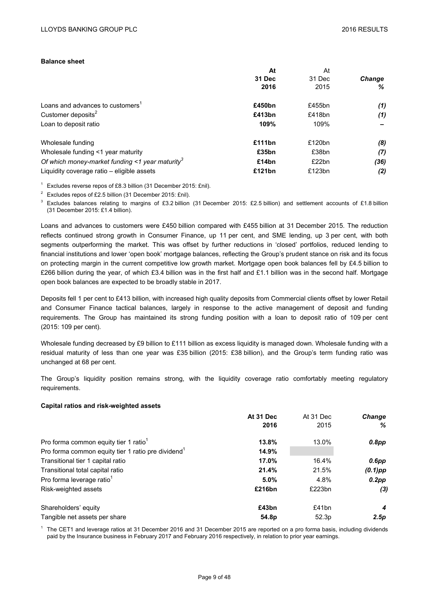## **Balance sheet**

| At     | At     |               |
|--------|--------|---------------|
| 31 Dec | 31 Dec | <b>Change</b> |
| 2016   | 2015   | %             |
| £450bn | £455bn | (1)           |
| £413bn | £418bn | (1)           |
| 109%   | 109%   | -             |
| £111bn | £120bn | (8)           |
| £35bn  | £38bn  | (7)           |
| £14bn  | £22bn  | (36)          |
| £121bn | £123bn | (2)           |
|        |        |               |

<sup>1</sup> Excludes reverse repos of £8.3 billion (31 December 2015: £nil).

<sup>2</sup> Excludes repos of £2.5 billion (31 December 2015:  $\text{Enil}$ ).

<sup>3</sup> Excludes balances relating to margins of £3.2 billion (31 December 2015: £2.5 billion) and settlement accounts of £1.8 billion (31 December 2015: £1.4 billion).

Loans and advances to customers were £450 billion compared with £455 billion at 31 December 2015. The reduction reflects continued strong growth in Consumer Finance, up 11 per cent, and SME lending, up 3 per cent, with both segments outperforming the market. This was offset by further reductions in 'closed' portfolios, reduced lending to financial institutions and lower 'open book' mortgage balances, reflecting the Group's prudent stance on risk and its focus on protecting margin in the current competitive low growth market. Mortgage open book balances fell by £4.5 billion to £266 billion during the year, of which £3.4 billion was in the first half and £1.1 billion was in the second half. Mortgage open book balances are expected to be broadly stable in 2017.

Deposits fell 1 per cent to £413 billion, with increased high quality deposits from Commercial clients offset by lower Retail and Consumer Finance tactical balances, largely in response to the active management of deposit and funding requirements. The Group has maintained its strong funding position with a loan to deposit ratio of 109 per cent (2015: 109 per cent).

Wholesale funding decreased by £9 billion to £111 billion as excess liquidity is managed down. Wholesale funding with a residual maturity of less than one year was £35 billion (2015: £38 billion), and the Group's term funding ratio was unchanged at 68 per cent.

The Group's liquidity position remains strong, with the liquidity coverage ratio comfortably meeting regulatory requirements.

## **Capital ratios and risk-weighted assets**

|                                                                | At 31 Dec | At 31 Dec | <b>Change</b> |
|----------------------------------------------------------------|-----------|-----------|---------------|
|                                                                | 2016      | 2015      | ℅             |
| Pro forma common equity tier 1 ratio <sup>1</sup>              | 13.8%     | 13.0%     | 0.8pp         |
| Pro forma common equity tier 1 ratio pre dividend <sup>1</sup> | 14.9%     |           |               |
| Transitional tier 1 capital ratio                              | 17.0%     | 16.4%     | $0.6$ pp      |
| Transitional total capital ratio                               | 21.4%     | 21.5%     | $(0.1)$ pp    |
| Pro forma leverage ratio <sup>1</sup>                          | 5.0%      | 4.8%      | $0.2$ pp      |
| Risk-weighted assets                                           | £216bn    | £223bn    | (3)           |
| Shareholders' equity                                           | £43bn     | £41bn     | 4             |
| Tangible net assets per share                                  | 54.8p     | 52.3p     | 2.5p          |

<sup>1</sup> The CET1 and leverage ratios at 31 December 2016 and 31 December 2015 are reported on a pro forma basis, including dividends paid by the Insurance business in February 2017 and February 2016 respectively, in relation to prior year earnings.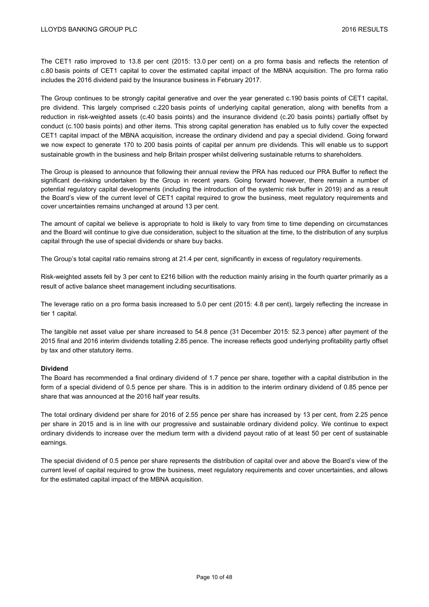The CET1 ratio improved to 13.8 per cent (2015: 13.0 per cent) on a pro forma basis and reflects the retention of c.80 basis points of CET1 capital to cover the estimated capital impact of the MBNA acquisition. The pro forma ratio includes the 2016 dividend paid by the Insurance business in February 2017.

The Group continues to be strongly capital generative and over the year generated c.190 basis points of CET1 capital, pre dividend. This largely comprised c.220 basis points of underlying capital generation, along with benefits from a reduction in risk-weighted assets (c.40 basis points) and the insurance dividend (c.20 basis points) partially offset by conduct (c.100 basis points) and other items. This strong capital generation has enabled us to fully cover the expected CET1 capital impact of the MBNA acquisition, increase the ordinary dividend and pay a special dividend. Going forward we now expect to generate 170 to 200 basis points of capital per annum pre dividends. This will enable us to support sustainable growth in the business and help Britain prosper whilst delivering sustainable returns to shareholders.

The Group is pleased to announce that following their annual review the PRA has reduced our PRA Buffer to reflect the significant de-risking undertaken by the Group in recent years. Going forward however, there remain a number of potential regulatory capital developments (including the introduction of the systemic risk buffer in 2019) and as a result the Board's view of the current level of CET1 capital required to grow the business, meet regulatory requirements and cover uncertainties remains unchanged at around 13 per cent.

The amount of capital we believe is appropriate to hold is likely to vary from time to time depending on circumstances and the Board will continue to give due consideration, subject to the situation at the time, to the distribution of any surplus capital through the use of special dividends or share buy backs.

The Group's total capital ratio remains strong at 21.4 per cent, significantly in excess of regulatory requirements.

Risk-weighted assets fell by 3 per cent to £216 billion with the reduction mainly arising in the fourth quarter primarily as a result of active balance sheet management including securitisations.

The leverage ratio on a pro forma basis increased to 5.0 per cent (2015: 4.8 per cent), largely reflecting the increase in tier 1 capital.

The tangible net asset value per share increased to 54.8 pence (31 December 2015: 52.3 pence) after payment of the 2015 final and 2016 interim dividends totalling 2.85 pence. The increase reflects good underlying profitability partly offset by tax and other statutory items.

## **Dividend**

The Board has recommended a final ordinary dividend of 1.7 pence per share, together with a capital distribution in the form of a special dividend of 0.5 pence per share. This is in addition to the interim ordinary dividend of 0.85 pence per share that was announced at the 2016 half year results.

The total ordinary dividend per share for 2016 of 2.55 pence per share has increased by 13 per cent, from 2.25 pence per share in 2015 and is in line with our progressive and sustainable ordinary dividend policy. We continue to expect ordinary dividends to increase over the medium term with a dividend payout ratio of at least 50 per cent of sustainable earnings.

The special dividend of 0.5 pence per share represents the distribution of capital over and above the Board's view of the current level of capital required to grow the business, meet regulatory requirements and cover uncertainties, and allows for the estimated capital impact of the MBNA acquisition.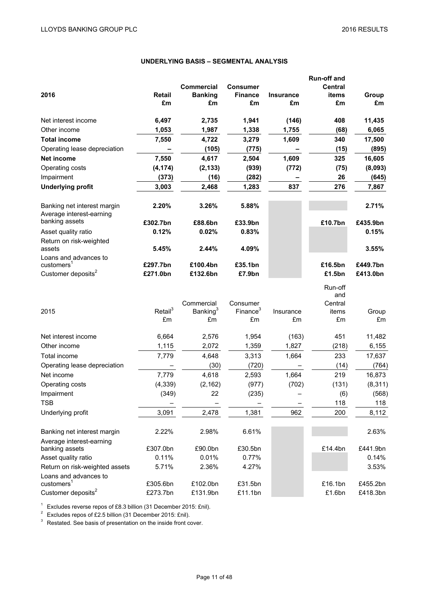# **UNDERLYING BASIS – SEGMENTAL ANALYSIS**

|                                                         |                     |                      |                      |                  | <b>Run-off and</b> |          |
|---------------------------------------------------------|---------------------|----------------------|----------------------|------------------|--------------------|----------|
|                                                         |                     | <b>Commercial</b>    | <b>Consumer</b>      |                  | <b>Central</b>     |          |
| 2016                                                    | <b>Retail</b>       | <b>Banking</b>       | <b>Finance</b>       | <b>Insurance</b> | items              | Group    |
|                                                         | £m                  | £m                   | £m                   | £m               | £m                 | £m       |
| Net interest income                                     | 6,497               | 2,735                | 1,941                | (146)            | 408                | 11,435   |
| Other income                                            | 1,053               | 1,987                | 1,338                | 1,755            | (68)               | 6,065    |
| <b>Total income</b>                                     | 7,550               | 4,722                | 3,279                | 1,609            | 340                | 17,500   |
| Operating lease depreciation                            |                     | (105)                | (775)                |                  | (15)               | (895)    |
| <b>Net income</b>                                       | 7,550               | 4,617                | 2,504                | 1,609            | 325                | 16,605   |
| Operating costs                                         | (4, 174)            | (2, 133)             | (939)                | (772)            | (75)               | (8,093)  |
| Impairment                                              | (373)               | (16)                 | (282)                |                  | 26                 | (645)    |
| <b>Underlying profit</b>                                | 3,003               | 2,468                | 1,283                | 837              | 276                | 7,867    |
| Banking net interest margin<br>Average interest-earning | 2.20%               | 3.26%                | 5.88%                |                  |                    | 2.71%    |
| banking assets                                          | £302.7bn            | £88.6bn              | £33.9bn              |                  | £10.7bn            | £435.9bn |
| Asset quality ratio                                     | 0.12%               | 0.02%                | 0.83%                |                  |                    | 0.15%    |
| Return on risk-weighted<br>assets                       | 5.45%               | 2.44%                | 4.09%                |                  |                    | 3.55%    |
| Loans and advances to                                   |                     |                      |                      |                  |                    |          |
| $cuts$ tomers <sup>1</sup>                              | £297.7bn            | £100.4bn             | £35.1bn              |                  | £16.5bn            | £449.7bn |
| Customer deposits <sup>2</sup>                          | £271.0bn            | £132.6bn             | £7.9bn               |                  | £1.5bn             | £413.0bn |
|                                                         |                     |                      |                      |                  | Run-off<br>and     |          |
|                                                         |                     | Commercial           | Consumer             |                  | Central            |          |
| 2015                                                    | Retail <sup>3</sup> | Banking <sup>3</sup> | Finance <sup>3</sup> | Insurance        | items              | Group    |
|                                                         | £m                  | £m                   | £m                   | £m               | £m                 | £m       |
| Net interest income                                     | 6,664               | 2,576                | 1,954                | (163)            | 451                | 11,482   |
| Other income                                            | 1,115               | 2,072                | 1,359                | 1,827            | (218)              | 6,155    |
| Total income                                            | 7,779               | 4,648                | 3,313                | 1,664            | 233                | 17,637   |
| Operating lease depreciation                            |                     | (30)                 | (720)                |                  | (14)               | (764)    |
| Net income                                              | 7,779               | 4,618                | 2,593                | 1,664            | 219                | 16,873   |
| Operating costs                                         | (4, 339)            | (2, 162)             | (977)                | (702)            | (131)              | (8, 311) |
| Impairment                                              | (349)               | 22                   | (235)                |                  | (6)                | (568)    |
| <b>TSB</b>                                              |                     |                      |                      |                  | 118                | 118      |
| Underlying profit                                       | 3,091               | 2,478                | 1,381                | 962              | 200                | 8,112    |
| Banking net interest margin                             | 2.22%               | 2.98%                | 6.61%                |                  |                    | 2.63%    |
| Average interest-earning                                |                     |                      |                      |                  |                    |          |
| banking assets                                          | £307.0bn            | £90.0bn              | £30.5bn              |                  | £14.4bn            | £441.9bn |
| Asset quality ratio                                     | 0.11%               | 0.01%                | 0.77%                |                  |                    | 0.14%    |
| Return on risk-weighted assets                          | 5.71%               | 2.36%                | 4.27%                |                  |                    | 3.53%    |
| Loans and advances to                                   |                     |                      |                      |                  |                    |          |
| customers <sup>1</sup>                                  | £305.6bn            | £102.0bn             | £31.5bn              |                  | £16.1bn            | £455.2bn |
| Customer deposits <sup>2</sup>                          | £273.7bn            | £131.9bn             | £11.1bn              |                  | £1.6bn             | £418.3bn |

<sup>1</sup> Excludes reverse repos of £8.3 billion (31 December 2015: £nil).

<sup>2</sup> Excludes repos of £2.5 billion (31 December 2015: £nil).

<sup>3</sup> Restated. See basis of presentation on the inside front cover.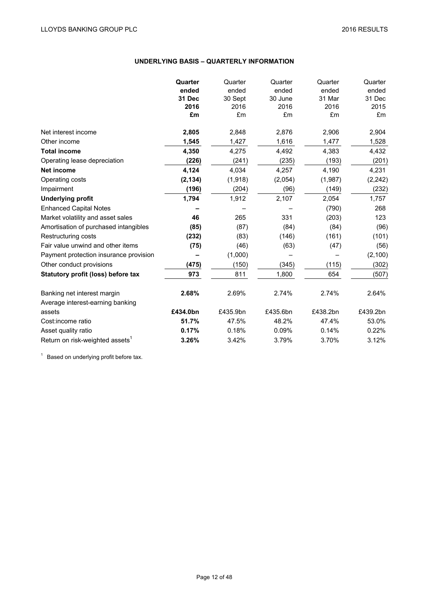# **UNDERLYING BASIS – QUARTERLY INFORMATION**

|                                             | Quarter  | Quarter  | Quarter  | Quarter  | Quarter  |
|---------------------------------------------|----------|----------|----------|----------|----------|
|                                             | ended    | ended    | ended    | ended    | ended    |
|                                             | 31 Dec   | 30 Sept  | 30 June  | 31 Mar   | 31 Dec   |
|                                             | 2016     | 2016     | 2016     | 2016     | 2015     |
|                                             | £m       | £m       | £m       | £m       | £m       |
| Net interest income                         | 2,805    | 2,848    | 2,876    | 2,906    | 2,904    |
| Other income                                | 1,545    | 1,427    | 1,616    | 1,477    | 1,528    |
| <b>Total income</b>                         | 4,350    | 4,275    | 4,492    | 4,383    | 4,432    |
| Operating lease depreciation                | (226)    | (241)    | (235)    | (193)    | (201)    |
| <b>Net income</b>                           | 4,124    | 4.034    | 4,257    | 4,190    | 4,231    |
| Operating costs                             | (2, 134) | (1, 918) | (2,054)  | (1,987)  | (2, 242) |
| Impairment                                  | (196)    | (204)    | (96)     | (149)    | (232)    |
| <b>Underlying profit</b>                    | 1,794    | 1,912    | 2,107    | 2,054    | 1,757    |
| <b>Enhanced Capital Notes</b>               |          |          |          | (790)    | 268      |
| Market volatility and asset sales           | 46       | 265      | 331      | (203)    | 123      |
| Amortisation of purchased intangibles       | (85)     | (87)     | (84)     | (84)     | (96)     |
| Restructuring costs                         | (232)    | (83)     | (146)    | (161)    | (101)    |
| Fair value unwind and other items           | (75)     | (46)     | (63)     | (47)     | (56)     |
| Payment protection insurance provision      |          | (1,000)  |          |          | (2, 100) |
| Other conduct provisions                    | (475)    | (150)    | (345)    | (115)    | (302)    |
| Statutory profit (loss) before tax          | 973      | 811      | 1,800    | 654      | (507)    |
| Banking net interest margin                 | 2.68%    | 2.69%    | 2.74%    | 2.74%    | 2.64%    |
| Average interest-earning banking            |          |          |          |          |          |
| assets                                      | £434.0bn | £435.9bn | £435.6bn | £438.2bn | £439.2bn |
| Cost: income ratio                          | 51.7%    | 47.5%    | 48.2%    | 47.4%    | 53.0%    |
| Asset quality ratio                         | 0.17%    | 0.18%    | 0.09%    | 0.14%    | 0.22%    |
| Return on risk-weighted assets <sup>1</sup> | 3.26%    | 3.42%    | 3.79%    | 3.70%    | 3.12%    |

<sup>1</sup> Based on underlying profit before tax.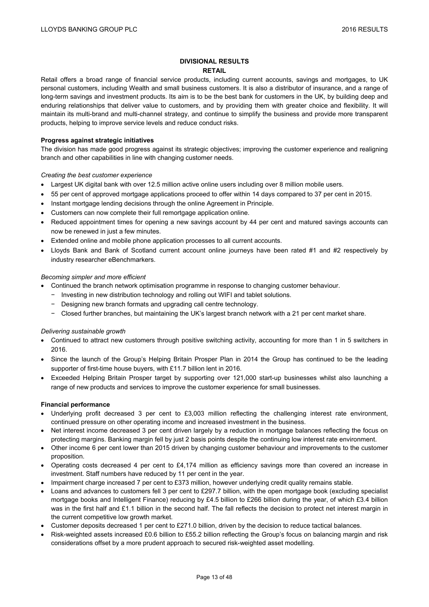## **DIVISIONAL RESULTS RETAIL**

Retail offers a broad range of financial service products, including current accounts, savings and mortgages, to UK personal customers, including Wealth and small business customers. It is also a distributor of insurance, and a range of long-term savings and investment products. Its aim is to be the best bank for customers in the UK, by building deep and enduring relationships that deliver value to customers, and by providing them with greater choice and flexibility. It will maintain its multi-brand and multi-channel strategy, and continue to simplify the business and provide more transparent products, helping to improve service levels and reduce conduct risks.

## **Progress against strategic initiatives**

The division has made good progress against its strategic objectives; improving the customer experience and realigning branch and other capabilities in line with changing customer needs.

## *Creating the best customer experience*

- Largest UK digital bank with over 12.5 million active online users including over 8 million mobile users.
- 55 per cent of approved mortgage applications proceed to offer within 14 days compared to 37 per cent in 2015.
- Instant mortgage lending decisions through the online Agreement in Principle.
- Customers can now complete their full remortgage application online.
- Reduced appointment times for opening a new savings account by 44 per cent and matured savings accounts can now be renewed in just a few minutes.
- Extended online and mobile phone application processes to all current accounts.
- Lloyds Bank and Bank of Scotland current account online journeys have been rated #1 and #2 respectively by industry researcher eBenchmarkers.

## *Becoming simpler and more efficient*

- Continued the branch network optimisation programme in response to changing customer behaviour.
	- − Investing in new distribution technology and rolling out WIFI and tablet solutions.
	- − Designing new branch formats and upgrading call centre technology.
	- − Closed further branches, but maintaining the UK's largest branch network with a 21 per cent market share.

## *Delivering sustainable growth*

- Continued to attract new customers through positive switching activity, accounting for more than 1 in 5 switchers in 2016.
- Since the launch of the Group's Helping Britain Prosper Plan in 2014 the Group has continued to be the leading supporter of first-time house buyers, with £11.7 billion lent in 2016.
- Exceeded Helping Britain Prosper target by supporting over 121,000 start-up businesses whilst also launching a range of new products and services to improve the customer experience for small businesses.

## **Financial performance**

- Underlying profit decreased 3 per cent to £3,003 million reflecting the challenging interest rate environment, continued pressure on other operating income and increased investment in the business.
- Net interest income decreased 3 per cent driven largely by a reduction in mortgage balances reflecting the focus on protecting margins. Banking margin fell by just 2 basis points despite the continuing low interest rate environment.
- Other income 6 per cent lower than 2015 driven by changing customer behaviour and improvements to the customer proposition.
- Operating costs decreased 4 per cent to £4,174 million as efficiency savings more than covered an increase in investment. Staff numbers have reduced by 11 per cent in the year.
- Impairment charge increased 7 per cent to £373 million, however underlying credit quality remains stable.
- Loans and advances to customers fell 3 per cent to £297.7 billion, with the open mortgage book (excluding specialist mortgage books and Intelligent Finance) reducing by £4.5 billion to £266 billion during the year, of which £3.4 billion was in the first half and £1.1 billion in the second half. The fall reflects the decision to protect net interest margin in the current competitive low growth market.
- Customer deposits decreased 1 per cent to £271.0 billion, driven by the decision to reduce tactical balances.
- Risk-weighted assets increased £0.6 billion to £55.2 billion reflecting the Group's focus on balancing margin and risk considerations offset by a more prudent approach to secured risk-weighted asset modelling.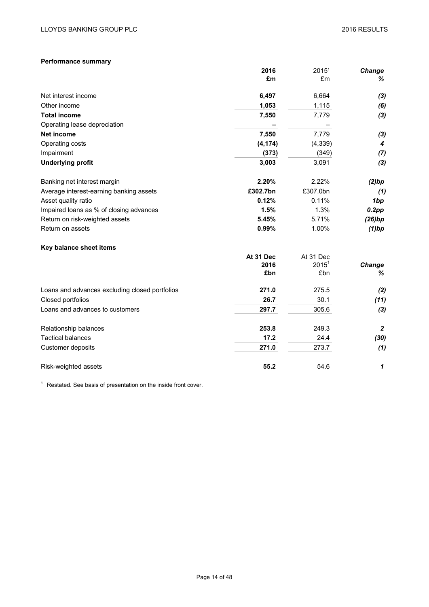## **Performance summary**

|                                                | 2016      | 20151     | <b>Change</b>    |
|------------------------------------------------|-----------|-----------|------------------|
|                                                | £m        | £m        | %                |
| Net interest income                            | 6,497     | 6,664     | (3)              |
| Other income                                   | 1,053     | 1,115     | (6)              |
| <b>Total income</b>                            | 7,550     | 7,779     | (3)              |
| Operating lease depreciation                   |           |           |                  |
| <b>Net income</b>                              | 7,550     | 7,779     | (3)              |
| Operating costs                                | (4, 174)  | (4, 339)  | 4                |
| Impairment                                     | (373)     | (349)     | (7)              |
| <b>Underlying profit</b>                       | 3,003     | 3,091     | (3)              |
| Banking net interest margin                    | 2.20%     | 2.22%     | (2)bp            |
| Average interest-earning banking assets        | £302.7bn  | £307.0bn  | (1)              |
| Asset quality ratio                            | 0.12%     | 0.11%     | 1bp              |
| Impaired loans as % of closing advances        | 1.5%      | 1.3%      | 0.2pp            |
| Return on risk-weighted assets                 | 5.45%     | 5.71%     | (26)bp           |
| Return on assets                               | 0.99%     | 1.00%     | $(1)$ bp         |
| Key balance sheet items                        |           |           |                  |
|                                                | At 31 Dec | At 31 Dec |                  |
|                                                | 2016      | $2015^1$  | Change           |
|                                                | £bn       | £bn       | %                |
| Loans and advances excluding closed portfolios | 271.0     | 275.5     | (2)              |
| Closed portfolios                              | 26.7      | 30.1      | (11)             |
| Loans and advances to customers                | 297.7     | 305.6     | (3)              |
| Relationship balances                          | 253.8     | 249.3     | $\boldsymbol{2}$ |
| <b>Tactical balances</b>                       | 17.2      | 24.4      | (30)             |
| Customer deposits                              | 271.0     | 273.7     | (1)              |
| Risk-weighted assets                           | 55.2      | 54.6      | 1                |

 $1$  Restated. See basis of presentation on the inside front cover.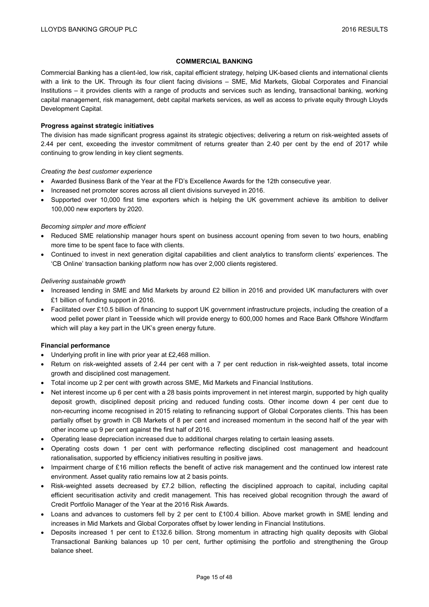## **COMMERCIAL BANKING**

Commercial Banking has a client-led, low risk, capital efficient strategy, helping UK-based clients and international clients with a link to the UK. Through its four client facing divisions – SME, Mid Markets, Global Corporates and Financial Institutions – it provides clients with a range of products and services such as lending, transactional banking, working capital management, risk management, debt capital markets services, as well as access to private equity through Lloyds Development Capital.

## **Progress against strategic initiatives**

The division has made significant progress against its strategic objectives; delivering a return on risk-weighted assets of 2.44 per cent, exceeding the investor commitment of returns greater than 2.40 per cent by the end of 2017 while continuing to grow lending in key client segments.

#### *Creating the best customer experience*

- Awarded Business Bank of the Year at the FD's Excellence Awards for the 12th consecutive year.
- Increased net promoter scores across all client divisions surveyed in 2016.
- Supported over 10,000 first time exporters which is helping the UK government achieve its ambition to deliver 100,000 new exporters by 2020.

## *Becoming simpler and more efficient*

- Reduced SME relationship manager hours spent on business account opening from seven to two hours, enabling more time to be spent face to face with clients.
- Continued to invest in next generation digital capabilities and client analytics to transform clients' experiences. The 'CB Online' transaction banking platform now has over 2,000 clients registered.

## *Delivering sustainable growth*

- Increased lending in SME and Mid Markets by around £2 billion in 2016 and provided UK manufacturers with over £1 billion of funding support in 2016.
- Facilitated over £10.5 billion of financing to support UK government infrastructure projects, including the creation of a wood pellet power plant in Teesside which will provide energy to 600,000 homes and Race Bank Offshore Windfarm which will play a key part in the UK's green energy future.

## **Financial performance**

- Underlying profit in line with prior year at £2,468 million.
- Return on risk-weighted assets of 2.44 per cent with a 7 per cent reduction in risk-weighted assets, total income growth and disciplined cost management.
- Total income up 2 per cent with growth across SME, Mid Markets and Financial Institutions.
- Net interest income up 6 per cent with a 28 basis points improvement in net interest margin, supported by high quality deposit growth, disciplined deposit pricing and reduced funding costs. Other income down 4 per cent due to non-recurring income recognised in 2015 relating to refinancing support of Global Corporates clients. This has been partially offset by growth in CB Markets of 8 per cent and increased momentum in the second half of the year with other income up 9 per cent against the first half of 2016.
- Operating lease depreciation increased due to additional charges relating to certain leasing assets.
- Operating costs down 1 per cent with performance reflecting disciplined cost management and headcount rationalisation, supported by efficiency initiatives resulting in positive jaws.
- Impairment charge of £16 million reflects the benefit of active risk management and the continued low interest rate environment. Asset quality ratio remains low at 2 basis points.
- Risk-weighted assets decreased by £7.2 billion, reflecting the disciplined approach to capital, including capital efficient securitisation activity and credit management. This has received global recognition through the award of Credit Portfolio Manager of the Year at the 2016 Risk Awards.
- Loans and advances to customers fell by 2 per cent to £100.4 billion. Above market growth in SME lending and increases in Mid Markets and Global Corporates offset by lower lending in Financial Institutions.
- Deposits increased 1 per cent to £132.6 billion. Strong momentum in attracting high quality deposits with Global Transactional Banking balances up 10 per cent, further optimising the portfolio and strengthening the Group balance sheet.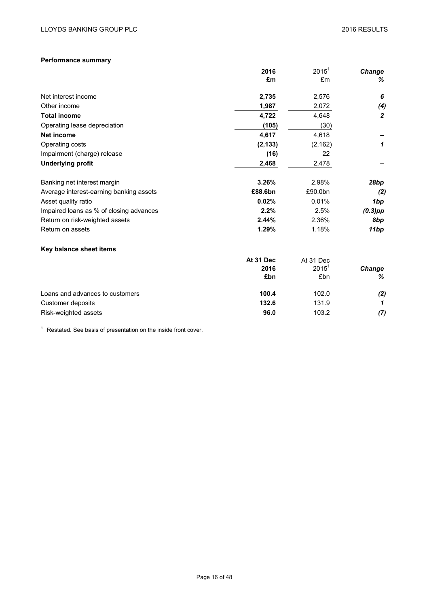# **Performance summary**

|                                         | 2016      | $2015^1$  | Change           |
|-----------------------------------------|-----------|-----------|------------------|
|                                         | £m        | £m        | %                |
| Net interest income                     | 2,735     | 2,576     | 6                |
| Other income                            | 1,987     | 2,072     | (4)              |
| <b>Total income</b>                     | 4,722     | 4,648     | $\boldsymbol{2}$ |
| Operating lease depreciation            | (105)     | (30)      |                  |
| <b>Net income</b>                       | 4,617     | 4,618     |                  |
| Operating costs                         | (2, 133)  | (2, 162)  | 1                |
| Impairment (charge) release             | (16)      | 22        |                  |
| <b>Underlying profit</b>                | 2,468     | 2,478     |                  |
| Banking net interest margin             | 3.26%     | 2.98%     | 28bp             |
| Average interest-earning banking assets | £88.6bn   | £90.0bn   | (2)              |
| Asset quality ratio                     | 0.02%     | 0.01%     | 1bp              |
| Impaired loans as % of closing advances | 2.2%      | 2.5%      | $(0.3)$ pp       |
| Return on risk-weighted assets          | 2.44%     | 2.36%     | 8bp              |
| Return on assets                        | 1.29%     | 1.18%     | 11bp             |
| Key balance sheet items                 |           |           |                  |
|                                         | At 31 Dec | At 31 Dec |                  |
|                                         | 2016      | $2015^1$  | Change           |
|                                         | £bn       | £bn       | %                |
| Loans and advances to customers         | 100.4     | 102.0     | (2)              |
| Customer deposits                       | 132.6     | 131.9     | 1                |
| Risk-weighted assets                    | 96.0      | 103.2     | (7)              |

 $1$  Restated. See basis of presentation on the inside front cover.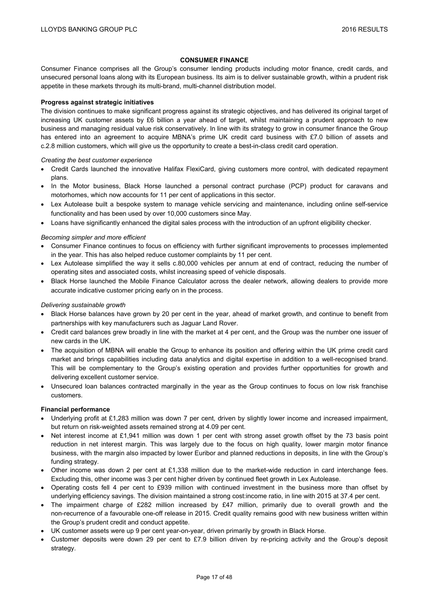## **CONSUMER FINANCE**

Consumer Finance comprises all the Group's consumer lending products including motor finance, credit cards, and unsecured personal loans along with its European business. Its aim is to deliver sustainable growth, within a prudent risk appetite in these markets through its multi-brand, multi-channel distribution model.

## **Progress against strategic initiatives**

The division continues to make significant progress against its strategic objectives, and has delivered its original target of increasing UK customer assets by £6 billion a year ahead of target, whilst maintaining a prudent approach to new business and managing residual value risk conservatively. In line with its strategy to grow in consumer finance the Group has entered into an agreement to acquire MBNA's prime UK credit card business with £7.0 billion of assets and c.2.8 million customers, which will give us the opportunity to create a best-in-class credit card operation.

## *Creating the best customer experience*

- Credit Cards launched the innovative Halifax FlexiCard, giving customers more control, with dedicated repayment plans.
- In the Motor business, Black Horse launched a personal contract purchase (PCP) product for caravans and motorhomes, which now accounts for 11 per cent of applications in this sector.
- Lex Autolease built a bespoke system to manage vehicle servicing and maintenance, including online self-service functionality and has been used by over 10,000 customers since May.
- Loans have significantly enhanced the digital sales process with the introduction of an upfront eligibility checker.

## *Becoming simpler and more efficient*

- Consumer Finance continues to focus on efficiency with further significant improvements to processes implemented in the year. This has also helped reduce customer complaints by 11 per cent.
- Lex Autolease simplified the way it sells c.80,000 vehicles per annum at end of contract, reducing the number of operating sites and associated costs, whilst increasing speed of vehicle disposals.
- Black Horse launched the Mobile Finance Calculator across the dealer network, allowing dealers to provide more accurate indicative customer pricing early on in the process.

## *Delivering sustainable growth*

- Black Horse balances have grown by 20 per cent in the year, ahead of market growth, and continue to benefit from partnerships with key manufacturers such as Jaguar Land Rover.
- Credit card balances grew broadly in line with the market at 4 per cent, and the Group was the number one issuer of new cards in the UK.
- The acquisition of MBNA will enable the Group to enhance its position and offering within the UK prime credit card market and brings capabilities including data analytics and digital expertise in addition to a well-recognised brand. This will be complementary to the Group's existing operation and provides further opportunities for growth and delivering excellent customer service.
- Unsecured loan balances contracted marginally in the year as the Group continues to focus on low risk franchise customers.

## **Financial performance**

- Underlying profit at £1,283 million was down 7 per cent, driven by slightly lower income and increased impairment, but return on risk-weighted assets remained strong at 4.09 per cent.
- Net interest income at £1,941 million was down 1 per cent with strong asset growth offset by the 73 basis point reduction in net interest margin. This was largely due to the focus on high quality, lower margin motor finance business, with the margin also impacted by lower Euribor and planned reductions in deposits, in line with the Group's funding strategy.
- $\bullet$  Other income was down 2 per cent at £1,338 million due to the market-wide reduction in card interchange fees. Excluding this, other income was 3 per cent higher driven by continued fleet growth in Lex Autolease.
- Operating costs fell 4 per cent to £939 million with continued investment in the business more than offset by underlying efficiency savings. The division maintained a strong cost:income ratio, in line with 2015 at 37.4 per cent.
- The impairment charge of £282 million increased by £47 million, primarily due to overall growth and the non-recurrence of a favourable one-off release in 2015. Credit quality remains good with new business written within the Group's prudent credit and conduct appetite.
- UK customer assets were up 9 per cent year-on-year, driven primarily by growth in Black Horse.
- Customer deposits were down 29 per cent to £7.9 billion driven by re-pricing activity and the Group's deposit strategy.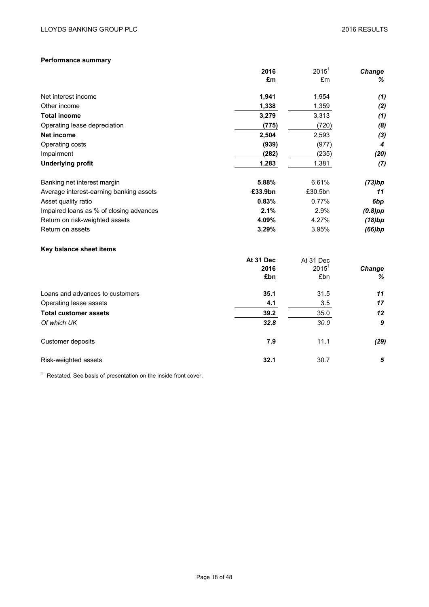# **Performance summary**

|                                         | 2016      | $2015^1$  | Change          |
|-----------------------------------------|-----------|-----------|-----------------|
|                                         | £m        | £m        | %               |
| Net interest income                     | 1,941     | 1,954     | (1)             |
| Other income                            | 1,338     | 1,359     | (2)             |
| <b>Total income</b>                     | 3,279     | 3,313     | (1)             |
| Operating lease depreciation            | (775)     | (720)     | (8)             |
| <b>Net income</b>                       | 2,504     | 2,593     | (3)             |
| Operating costs                         | (939)     | (977)     | 4               |
| Impairment                              | (282)     | (235)     | (20)            |
| <b>Underlying profit</b>                | 1,283     | 1,381     | (7)             |
| Banking net interest margin             | 5.88%     | 6.61%     | (73)bp          |
| Average interest-earning banking assets | £33.9bn   | £30.5bn   | 11              |
| Asset quality ratio                     | 0.83%     | 0.77%     | 6 <sub>bp</sub> |
| Impaired loans as % of closing advances | 2.1%      | 2.9%      | $(0.8)$ pp      |
| Return on risk-weighted assets          | 4.09%     | 4.27%     | (18)bp          |
| Return on assets                        | 3.29%     | 3.95%     | (66)bp          |
| Key balance sheet items                 |           |           |                 |
|                                         | At 31 Dec | At 31 Dec |                 |
|                                         | 2016      | $2015^1$  | Change          |
|                                         | £bn       | £bn       | ℅               |
| Loans and advances to customers         | 35.1      | 31.5      | 11              |
| Operating lease assets                  | 4.1       | 3.5       | 17              |
| <b>Total customer assets</b>            | 39.2      | 35.0      | 12              |
| Of which UK                             | 32.8      | 30.0      | 9               |
| Customer deposits                       | 7.9       | 11.1      | (29)            |
| Risk-weighted assets                    | 32.1      | 30.7      | 5               |

 $1$  Restated. See basis of presentation on the inside front cover.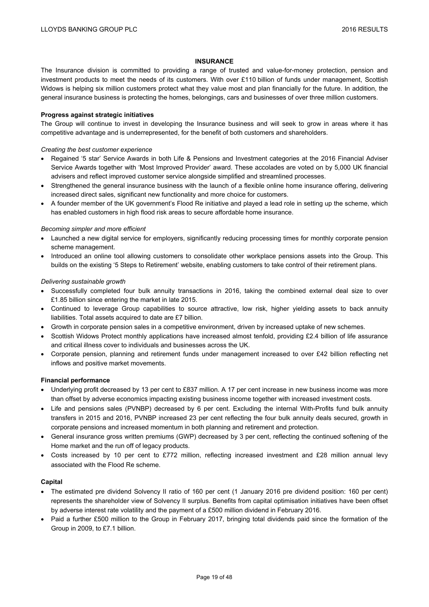## **INSURANCE**

The Insurance division is committed to providing a range of trusted and value-for-money protection, pension and investment products to meet the needs of its customers. With over £110 billion of funds under management, Scottish Widows is helping six million customers protect what they value most and plan financially for the future. In addition, the general insurance business is protecting the homes, belongings, cars and businesses of over three million customers.

## **Progress against strategic initiatives**

The Group will continue to invest in developing the Insurance business and will seek to grow in areas where it has competitive advantage and is underrepresented, for the benefit of both customers and shareholders.

## *Creating the best customer experience*

- Regained '5 star' Service Awards in both Life & Pensions and Investment categories at the 2016 Financial Adviser Service Awards together with 'Most Improved Provider' award. These accolades are voted on by 5,000 UK financial advisers and reflect improved customer service alongside simplified and streamlined processes.
- Strengthened the general insurance business with the launch of a flexible online home insurance offering, delivering increased direct sales, significant new functionality and more choice for customers.
- A founder member of the UK government's Flood Re initiative and played a lead role in setting up the scheme, which has enabled customers in high flood risk areas to secure affordable home insurance.

## *Becoming simpler and more efficient*

- Launched a new digital service for employers, significantly reducing processing times for monthly corporate pension scheme management.
- Introduced an online tool allowing customers to consolidate other workplace pensions assets into the Group. This builds on the existing '5 Steps to Retirement' website, enabling customers to take control of their retirement plans.

## *Delivering sustainable growth*

- Successfully completed four bulk annuity transactions in 2016, taking the combined external deal size to over £1.85 billion since entering the market in late 2015.
- Continued to leverage Group capabilities to source attractive, low risk, higher yielding assets to back annuity liabilities. Total assets acquired to date are £7 billion.
- Growth in corporate pension sales in a competitive environment, driven by increased uptake of new schemes.
- Scottish Widows Protect monthly applications have increased almost tenfold, providing £2.4 billion of life assurance and critical illness cover to individuals and businesses across the UK.
- Corporate pension, planning and retirement funds under management increased to over £42 billion reflecting net inflows and positive market movements.

## **Financial performance**

- Underlying profit decreased by 13 per cent to £837 million. A 17 per cent increase in new business income was more than offset by adverse economics impacting existing business income together with increased investment costs.
- Life and pensions sales (PVNBP) decreased by 6 per cent. Excluding the internal With-Profits fund bulk annuity transfers in 2015 and 2016, PVNBP increased 23 per cent reflecting the four bulk annuity deals secured, growth in corporate pensions and increased momentum in both planning and retirement and protection.
- General insurance gross written premiums (GWP) decreased by 3 per cent, reflecting the continued softening of the Home market and the run off of legacy products.
- Costs increased by 10 per cent to £772 million, reflecting increased investment and £28 million annual levy associated with the Flood Re scheme.

## **Capital**

- The estimated pre dividend Solvency II ratio of 160 per cent (1 January 2016 pre dividend position: 160 per cent) represents the shareholder view of Solvency II surplus. Benefits from capital optimisation initiatives have been offset by adverse interest rate volatility and the payment of a £500 million dividend in February 2016.
- Paid a further £500 million to the Group in February 2017, bringing total dividends paid since the formation of the Group in 2009, to £7.1 billion.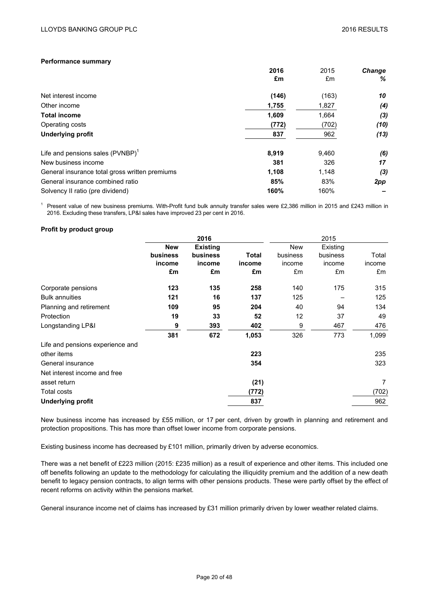## **Performance summary**

|                                                | 2016  | 2015  | <b>Change</b> |
|------------------------------------------------|-------|-------|---------------|
|                                                | £m    | £m    | %             |
| Net interest income                            | (146) | (163) | 10            |
| Other income                                   | 1,755 | 1,827 | (4)           |
| <b>Total income</b>                            | 1,609 | 1,664 | (3)           |
| Operating costs                                | (772) | (702) | (10)          |
| <b>Underlying profit</b>                       | 837   | 962   | (13)          |
| Life and pensions sales $(PVNBP)^T$            | 8,919 | 9,460 | (6)           |
| New business income                            | 381   | 326   | 17            |
| General insurance total gross written premiums | 1,108 | 1,148 | (3)           |
| General insurance combined ratio               | 85%   | 83%   | 2pp           |
| Solvency II ratio (pre dividend)               | 160%  | 160%  |               |

 $1$  Present value of new business premiums. With-Profit fund bulk annuity transfer sales were £2,386 million in 2015 and £243 million in 2016. Excluding these transfers, LP&I sales have improved 23 per cent in 2016.

## **Profit by product group**

|                                  |            | 2016            |        |          | 2015     |        |
|----------------------------------|------------|-----------------|--------|----------|----------|--------|
|                                  | <b>New</b> | <b>Existing</b> |        | New      | Existing |        |
|                                  | business   | business        | Total  | business | business | Total  |
|                                  | income     | income          | income | income   | income   | income |
|                                  | £m         | £m              | £m     | £m       | £m       | £m     |
| Corporate pensions               | 123        | 135             | 258    | 140      | 175      | 315    |
| <b>Bulk annuities</b>            | 121        | 16              | 137    | 125      |          | 125    |
| Planning and retirement          | 109        | 95              | 204    | 40       | 94       | 134    |
| Protection                       | 19         | 33              | 52     | 12       | 37       | 49     |
| Longstanding LP&I                | 9          | 393             | 402    | 9        | 467      | 476    |
|                                  | 381        | 672             | 1,053  | 326      | 773      | 1,099  |
| Life and pensions experience and |            |                 |        |          |          |        |
| other items                      |            |                 | 223    |          |          | 235    |
| General insurance                |            |                 | 354    |          |          | 323    |
| Net interest income and free     |            |                 |        |          |          |        |
| asset return                     |            |                 | (21)   |          |          | 7      |
| <b>Total costs</b>               |            |                 | (772)  |          |          | (702)  |
| <b>Underlying profit</b>         |            |                 | 837    |          |          | 962    |

New business income has increased by £55 million, or 17 per cent, driven by growth in planning and retirement and protection propositions. This has more than offset lower income from corporate pensions.

Existing business income has decreased by £101 million, primarily driven by adverse economics.

There was a net benefit of £223 million (2015: £235 million) as a result of experience and other items. This included one off benefits following an update to the methodology for calculating the illiquidity premium and the addition of a new death benefit to legacy pension contracts, to align terms with other pensions products. These were partly offset by the effect of recent reforms on activity within the pensions market.

General insurance income net of claims has increased by £31 million primarily driven by lower weather related claims.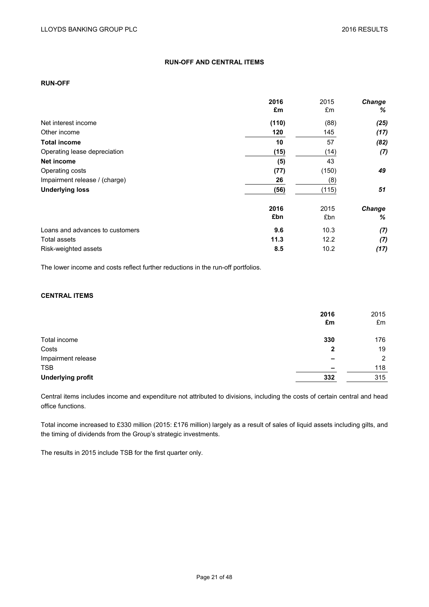# **RUN-OFF AND CENTRAL ITEMS**

## **RUN-OFF**

|                                 | 2016  | 2015  | <b>Change</b> |
|---------------------------------|-------|-------|---------------|
|                                 | £m    | £m    | %             |
| Net interest income             | (110) | (88)  | (25)          |
| Other income                    | 120   | 145   | (17)          |
| <b>Total income</b>             | 10    | 57    | (82)          |
| Operating lease depreciation    | (15)  | (14)  | (7)           |
| Net income                      | (5)   | 43    |               |
| Operating costs                 | (77)  | (150) | 49            |
| Impairment release / (charge)   | 26    | (8)   |               |
| <b>Underlying loss</b>          | (56)  | (115) | 51            |
|                                 | 2016  | 2015  | Change        |
|                                 | £bn   | £bn   | %             |
| Loans and advances to customers | 9.6   | 10.3  | (7)           |
| Total assets                    | 11.3  | 12.2  | (7)           |
| Risk-weighted assets            | 8.5   | 10.2  | (17)          |

The lower income and costs reflect further reductions in the run-off portfolios.

## **CENTRAL ITEMS**

|                          | 2016<br>£m  | 2015<br>£m |
|--------------------------|-------------|------------|
|                          |             |            |
| Total income             | 330         | 176        |
| Costs                    | $\mathbf 2$ | 19         |
| Impairment release       |             | 2          |
| <b>TSB</b>               |             | 118        |
| <b>Underlying profit</b> | 332         | 315        |

Central items includes income and expenditure not attributed to divisions, including the costs of certain central and head office functions.

Total income increased to £330 million (2015: £176 million) largely as a result of sales of liquid assets including gilts, and the timing of dividends from the Group's strategic investments.

The results in 2015 include TSB for the first quarter only.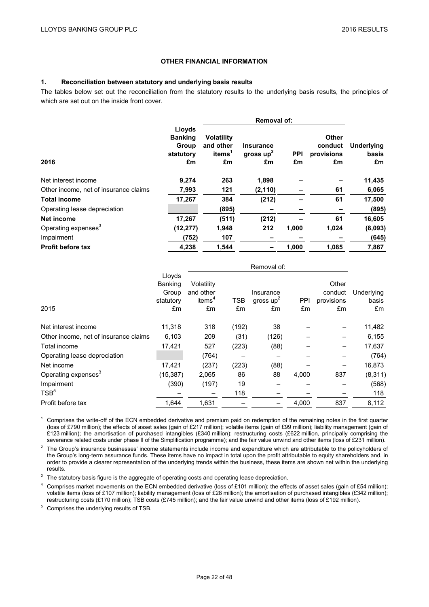## **OTHER FINANCIAL INFORMATION**

## **1. Reconciliation between statutory and underlying basis results**

The tables below set out the reconciliation from the statutory results to the underlying basis results, the principles of which are set out on the inside front cover.

|                                       |                                                      | <b>Removal of:</b>                                         |                                       |                  |                                             |                           |  |
|---------------------------------------|------------------------------------------------------|------------------------------------------------------------|---------------------------------------|------------------|---------------------------------------------|---------------------------|--|
| 2016                                  | Lloyds<br><b>Banking</b><br>Group<br>statutory<br>£m | <b>Volatility</b><br>and other<br>items <sup>1</sup><br>£m | <b>Insurance</b><br>gross $up2$<br>£m | <b>PPI</b><br>£m | <b>Other</b><br>conduct<br>provisions<br>£m | Underlying<br>basis<br>£m |  |
| Net interest income                   | 9,274                                                | 263                                                        | 1,898                                 |                  |                                             | 11,435                    |  |
| Other income, net of insurance claims | 7,993                                                | 121                                                        | (2, 110)                              |                  | 61                                          | 6,065                     |  |
| <b>Total income</b>                   | 17,267                                               | 384                                                        | (212)                                 |                  | 61                                          | 17,500                    |  |
| Operating lease depreciation          |                                                      | (895)                                                      |                                       |                  |                                             | (895)                     |  |
| Net income                            | 17,267                                               | (511)                                                      | (212)                                 |                  | 61                                          | 16,605                    |  |
| Operating expenses <sup>3</sup>       | (12, 277)                                            | 1,948                                                      | 212                                   | 1,000            | 1,024                                       | (8,093)                   |  |
| Impairment                            | (752)                                                | 107                                                        |                                       |                  |                                             | (645)                     |  |
| <b>Profit before tax</b>              | 4,238                                                | 1,544                                                      |                                       | 1,000            | 1,085                                       | 7,867                     |  |

|                                       |                                               |                                                     |                  | Removal of:                    |           |                                      |                           |
|---------------------------------------|-----------------------------------------------|-----------------------------------------------------|------------------|--------------------------------|-----------|--------------------------------------|---------------------------|
| 2015                                  | Lloyds<br>Banking<br>Group<br>statutory<br>£m | Volatility<br>and other<br>items <sup>4</sup><br>£m | <b>TSB</b><br>£m | Insurance<br>gross $up2$<br>£m | PPI<br>£m | Other<br>conduct<br>provisions<br>£m | Underlying<br>basis<br>£m |
| Net interest income                   | 11,318                                        | 318                                                 | (192)            | 38                             |           |                                      | 11,482                    |
| Other income, net of insurance claims | 6,103                                         | 209                                                 | (31)             | (126)                          |           |                                      | 6,155                     |
| Total income                          | 17,421                                        | 527                                                 | (223)            | (88)                           |           |                                      | 17,637                    |
| Operating lease depreciation          |                                               | (764)                                               |                  |                                |           |                                      | (764)                     |
| Net income                            | 17,421                                        | (237)                                               | (223)            | (88)                           |           |                                      | 16,873                    |
| Operating expenses <sup>3</sup>       | (15, 387)                                     | 2,065                                               | 86               | 88                             | 4,000     | 837                                  | (8,311)                   |
| Impairment                            | (390)                                         | (197)                                               | 19               |                                |           |                                      | (568)                     |
| TSB <sup>5</sup>                      |                                               |                                                     | 118              |                                |           |                                      | 118                       |
| Profit before tax                     | 1.644                                         | 1,631                                               |                  |                                | 4,000     | 837                                  | 8,112                     |

 $1$  Comprises the write-off of the ECN embedded derivative and premium paid on redemption of the remaining notes in the first quarter (loss of £790 million); the effects of asset sales (gain of £217 million); volatile items (gain of £99 million); liability management (gain of £123 million); the amortisation of purchased intangibles (£340 million); restructuring costs (£622 million, principally comprising the severance related costs under phase II of the Simplification programme); and the fair value unwind and other items (loss of £231 million).

<sup>2</sup> The Group's insurance businesses' income statements include income and expenditure which are attributable to the policyholders of the Group's long-term assurance funds. These items have no impact in total upon the profit attributable to equity shareholders and, in order to provide a clearer representation of the underlying trends within the business, these items are shown net within the underlying results.

<sup>3</sup> The statutory basis figure is the aggregate of operating costs and operating lease depreciation.

<sup>4</sup> Comprises market movements on the ECN embedded derivative (loss of £101 million); the effects of asset sales (gain of £54 million); volatile items (loss of £107 million); liability management (loss of £28 million); the amortisation of purchased intangibles (£342 million); restructuring costs (£170 million); TSB costs (£745 million); and the fair value unwind and other items (loss of £192 million).

<sup>5</sup> Comprises the underlying results of TSB.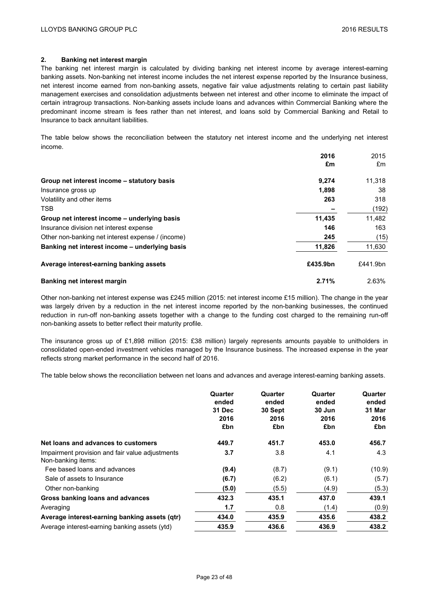## **2. Banking net interest margin**

The banking net interest margin is calculated by dividing banking net interest income by average interest-earning banking assets. Non-banking net interest income includes the net interest expense reported by the Insurance business, net interest income earned from non-banking assets, negative fair value adjustments relating to certain past liability management exercises and consolidation adjustments between net interest and other income to eliminate the impact of certain intragroup transactions. Non-banking assets include loans and advances within Commercial Banking where the predominant income stream is fees rather than net interest, and loans sold by Commercial Banking and Retail to Insurance to back annuitant liabilities.

The table below shows the reconciliation between the statutory net interest income and the underlying net interest income.

|                                                   | 2016     | 2015     |
|---------------------------------------------------|----------|----------|
|                                                   | £m       | £m       |
| Group net interest income – statutory basis       | 9,274    | 11,318   |
| Insurance gross up                                | 1,898    | 38       |
| Volatility and other items                        | 263      | 318      |
| <b>TSB</b>                                        |          | (192)    |
| Group net interest income – underlying basis      | 11,435   | 11,482   |
| Insurance division net interest expense           | 146      | 163      |
| Other non-banking net interest expense / (income) | 245      | (15)     |
| Banking net interest income – underlying basis    | 11,826   | 11,630   |
| Average interest-earning banking assets           | £435.9bn | £441.9bn |
| Banking net interest margin                       | 2.71%    | 2.63%    |

Other non-banking net interest expense was £245 million (2015: net interest income £15 million). The change in the year was largely driven by a reduction in the net interest income reported by the non-banking businesses, the continued reduction in run-off non-banking assets together with a change to the funding cost charged to the remaining run-off non-banking assets to better reflect their maturity profile.

The insurance gross up of £1,898 million (2015: £38 million) largely represents amounts payable to unitholders in consolidated open-ended investment vehicles managed by the Insurance business. The increased expense in the year reflects strong market performance in the second half of 2016.

The table below shows the reconciliation between net loans and advances and average interest-earning banking assets.

|                                                                       | Quarter<br>ended<br>31 Dec<br>2016<br>£bn | Quarter<br>ended<br>30 Sept<br>2016<br>£bn | Quarter<br>ended<br>30 Jun<br>2016<br>£bn | Quarter<br>ended<br>31 Mar<br>2016<br>£bn |
|-----------------------------------------------------------------------|-------------------------------------------|--------------------------------------------|-------------------------------------------|-------------------------------------------|
| Net loans and advances to customers                                   | 449.7                                     | 451.7                                      | 453.0                                     | 456.7                                     |
| Impairment provision and fair value adjustments<br>Non-banking items: | 3.7                                       | 3.8                                        | 4.1                                       | 4.3                                       |
| Fee based loans and advances                                          | (9.4)                                     | (8.7)                                      | (9.1)                                     | (10.9)                                    |
| Sale of assets to Insurance                                           | (6.7)                                     | (6.2)                                      | (6.1)                                     | (5.7)                                     |
| Other non-banking                                                     | (5.0)                                     | (5.5)                                      | (4.9)                                     | (5.3)                                     |
| Gross banking loans and advances                                      | 432.3                                     | 435.1                                      | 437.0                                     | 439.1                                     |
| Averaging                                                             | 1.7                                       | 0.8                                        | (1.4)                                     | (0.9)                                     |
| Average interest-earning banking assets (qtr)                         | 434.0                                     | 435.9                                      | 435.6                                     | 438.2                                     |
| Average interest-earning banking assets (ytd)                         | 435.9                                     | 436.6                                      | 436.9                                     | 438.2                                     |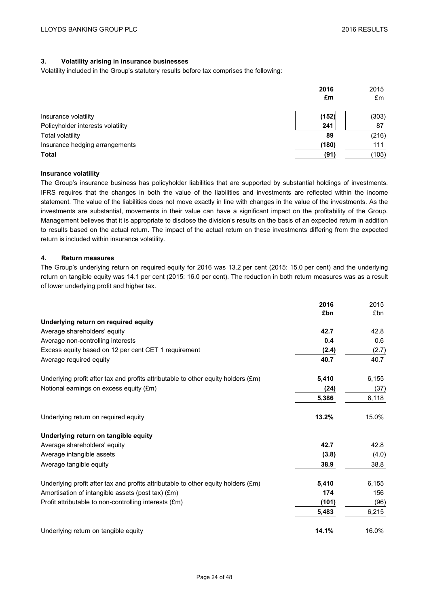# **3. Volatility arising in insurance businesses**

Volatility included in the Group's statutory results before tax comprises the following:

|                                   | 2016<br>£m | 2015<br>£m |
|-----------------------------------|------------|------------|
| Insurance volatility              | (152)      | (303)      |
| Policyholder interests volatility | 241        | 87         |
| <b>Total volatility</b>           | 89         | (216)      |
| Insurance hedging arrangements    | (180)      | 111        |
| <b>Total</b>                      | (91)       | (105)      |

## **Insurance volatility**

The Group's insurance business has policyholder liabilities that are supported by substantial holdings of investments. IFRS requires that the changes in both the value of the liabilities and investments are reflected within the income statement. The value of the liabilities does not move exactly in line with changes in the value of the investments. As the investments are substantial, movements in their value can have a significant impact on the profitability of the Group. Management believes that it is appropriate to disclose the division's results on the basis of an expected return in addition to results based on the actual return. The impact of the actual return on these investments differing from the expected return is included within insurance volatility.

## **4. Return measures**

The Group's underlying return on required equity for 2016 was 13.2 per cent (2015: 15.0 per cent) and the underlying return on tangible equity was 14.1 per cent (2015: 16.0 per cent). The reduction in both return measures was as a result of lower underlying profit and higher tax.

|                                                                                   | 2016  | 2015  |
|-----------------------------------------------------------------------------------|-------|-------|
|                                                                                   | £bn   | £bn   |
| Underlying return on required equity                                              |       |       |
| Average shareholders' equity                                                      | 42.7  | 42.8  |
| Average non-controlling interests                                                 | 0.4   | 0.6   |
| Excess equity based on 12 per cent CET 1 requirement                              | (2.4) | (2.7) |
| Average required equity                                                           | 40.7  | 40.7  |
| Underlying profit after tax and profits attributable to other equity holders (£m) | 5,410 | 6,155 |
| Notional earnings on excess equity (£m)                                           | (24)  | (37)  |
|                                                                                   | 5,386 | 6,118 |
| Underlying return on required equity                                              | 13.2% | 15.0% |
| Underlying return on tangible equity                                              |       |       |
| Average shareholders' equity                                                      | 42.7  | 42.8  |
| Average intangible assets                                                         | (3.8) | (4.0) |
| Average tangible equity                                                           | 38.9  | 38.8  |
| Underlying profit after tax and profits attributable to other equity holders (£m) | 5,410 | 6,155 |
| Amortisation of intangible assets (post tax) (£m)                                 | 174   | 156   |
| Profit attributable to non-controlling interests (£m)                             | (101) | (96)  |
|                                                                                   | 5,483 | 6,215 |
| Underlying return on tangible equity                                              | 14.1% | 16.0% |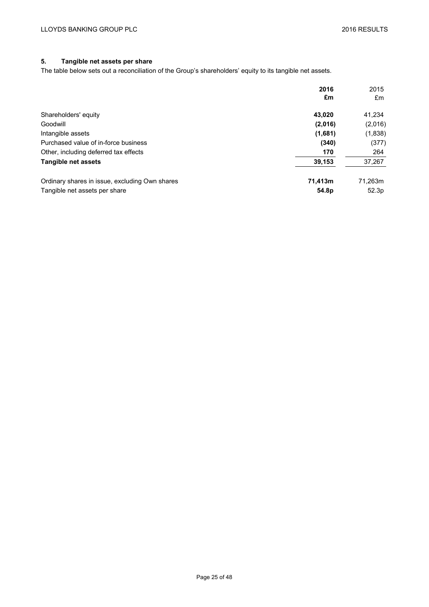# **5. Tangible net assets per share**

The table below sets out a reconciliation of the Group's shareholders' equity to its tangible net assets.

|                                                | 2016              | 2015    |
|------------------------------------------------|-------------------|---------|
|                                                | £m                | £m      |
| Shareholders' equity                           | 43.020            | 41,234  |
| Goodwill                                       | (2,016)           | (2,016) |
| Intangible assets                              | (1,681)           | (1,838) |
| Purchased value of in-force business           | (340)             | (377)   |
| Other, including deferred tax effects          | 170               | 264     |
| Tangible net assets                            | 39,153            | 37,267  |
| Ordinary shares in issue, excluding Own shares | 71,413m           | 71.263m |
| Tangible net assets per share                  | 54.8 <sub>p</sub> | 52.3p   |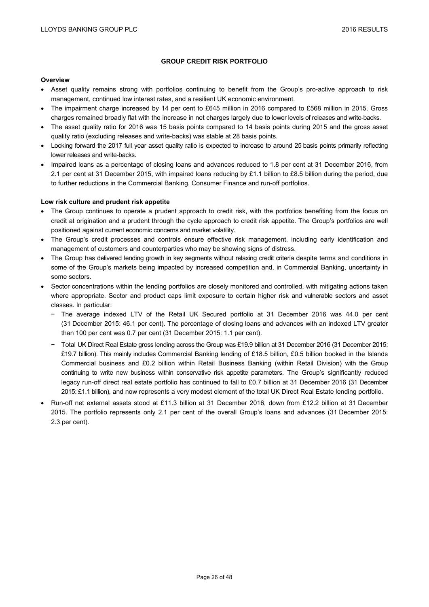## **GROUP CREDIT RISK PORTFOLIO**

#### **Overview**

- Asset quality remains strong with portfolios continuing to benefit from the Group's pro-active approach to risk management, continued low interest rates, and a resilient UK economic environment.
- The impairment charge increased by 14 per cent to £645 million in 2016 compared to £568 million in 2015. Gross charges remained broadly flat with the increase in net charges largely due to lower levels of releases and write-backs.
- The asset quality ratio for 2016 was 15 basis points compared to 14 basis points during 2015 and the gross asset quality ratio (excluding releases and write-backs) was stable at 28 basis points.
- Looking forward the 2017 full year asset quality ratio is expected to increase to around 25 basis points primarily reflecting lower releases and write-backs.
- Impaired loans as a percentage of closing loans and advances reduced to 1.8 per cent at 31 December 2016, from 2.1 per cent at 31 December 2015, with impaired loans reducing by £1.1 billion to £8.5 billion during the period, due to further reductions in the Commercial Banking, Consumer Finance and run-off portfolios.

## **Low risk culture and prudent risk appetite**

- The Group continues to operate a prudent approach to credit risk, with the portfolios benefiting from the focus on credit at origination and a prudent through the cycle approach to credit risk appetite. The Group's portfolios are well positioned against current economic concerns and market volatility.
- The Group's credit processes and controls ensure effective risk management, including early identification and management of customers and counterparties who may be showing signs of distress.
- The Group has delivered lending growth in key segments without relaxing credit criteria despite terms and conditions in some of the Group's markets being impacted by increased competition and, in Commercial Banking, uncertainty in some sectors.
- Sector concentrations within the lending portfolios are closely monitored and controlled, with mitigating actions taken where appropriate. Sector and product caps limit exposure to certain higher risk and vulnerable sectors and asset classes. In particular:
	- − The average indexed LTV of the Retail UK Secured portfolio at 31 December 2016 was 44.0 per cent (31 December 2015: 46.1 per cent). The percentage of closing loans and advances with an indexed LTV greater than 100 per cent was 0.7 per cent (31 December 2015: 1.1 per cent).
	- − Total UK Direct Real Estate gross lending across the Group was £19.9 billion at 31 December 2016 (31 December 2015: £19.7 billion). This mainly includes Commercial Banking lending of £18.5 billion, £0.5 billion booked in the Islands Commercial business and £0.2 billion within Retail Business Banking (within Retail Division) with the Group continuing to write new business within conservative risk appetite parameters. The Group's significantly reduced legacy run-off direct real estate portfolio has continued to fall to £0.7 billion at 31 December 2016 (31 December 2015: £1.1 billion), and now represents a very modest element of the total UK Direct Real Estate lending portfolio.
- Run-off net external assets stood at £11.3 billion at 31 December 2016, down from £12.2 billion at 31 December 2015. The portfolio represents only 2.1 per cent of the overall Group's loans and advances (31 December 2015: 2.3 per cent).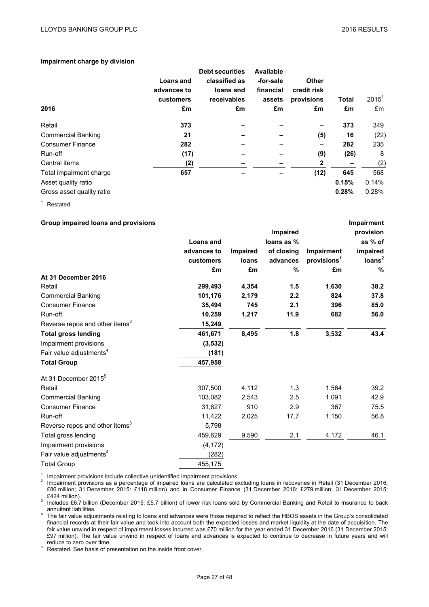## **Impairment charge by division**

| 2016                      | Loans and<br>advances to<br>customers<br>£m | <b>Debt securities</b><br>classified as<br>loans and<br>receivables<br>£m | <b>Available</b><br>-for-sale<br>financial<br>assets<br>£m | <b>Other</b><br>credit risk<br>provisions<br>£m | <b>Total</b><br>£m | $2015^1$<br>£m |
|---------------------------|---------------------------------------------|---------------------------------------------------------------------------|------------------------------------------------------------|-------------------------------------------------|--------------------|----------------|
| Retail                    | 373                                         |                                                                           |                                                            |                                                 | 373                | 349            |
| <b>Commercial Banking</b> | 21                                          |                                                                           |                                                            | (5)                                             | 16                 | (22)           |
| <b>Consumer Finance</b>   | 282                                         |                                                                           |                                                            |                                                 | 282                | 235            |
| Run-off                   | (17)                                        |                                                                           |                                                            | (9)                                             | (26)               | 8              |
| Central items             | (2)                                         |                                                                           |                                                            | 2                                               |                    | (2)            |
| Total impairment charge   | 657                                         |                                                                           |                                                            | (12)                                            | 645                | 568            |
| Asset quality ratio       |                                             |                                                                           |                                                            |                                                 | 0.15%              | 0.14%          |
| Gross asset quality ratio |                                             |                                                                           |                                                            |                                                 | 0.28%              | 0.28%          |

<sup>1</sup> Restated.

| Group impaired loans and provisions        |                  |                 |            |                         | Impairment         |
|--------------------------------------------|------------------|-----------------|------------|-------------------------|--------------------|
|                                            |                  |                 | Impaired   |                         | provision          |
|                                            | <b>Loans and</b> |                 | loans as % |                         | as % of            |
|                                            | advances to      | <b>Impaired</b> | of closing | Impairment              | impaired           |
|                                            | customers        | loans           | advances   | provisions <sup>1</sup> | Ioans <sup>2</sup> |
|                                            | £m               | £m              | %          | £m                      | %                  |
| At 31 December 2016                        |                  |                 |            |                         |                    |
| Retail                                     | 299,493          | 4,354           | 1.5        | 1,630                   | 38.2               |
| <b>Commercial Banking</b>                  | 101,176          | 2,179           | 2.2        | 824                     | 37.8               |
| <b>Consumer Finance</b>                    | 35,494           | 745             | 2.1        | 396                     | 85.0               |
| Run-off                                    | 10,259           | 1,217           | 11.9       | 682                     | 56.0               |
| Reverse repos and other items <sup>3</sup> | 15,249           |                 |            |                         |                    |
| <b>Total gross lending</b>                 | 461,671          | 8,495           | 1.8        | 3,532                   | 43.4               |
| Impairment provisions                      | (3, 532)         |                 |            |                         |                    |
| Fair value adjustments <sup>4</sup>        | (181)            |                 |            |                         |                    |
| <b>Total Group</b>                         | 457,958          |                 |            |                         |                    |
| At 31 December 2015 <sup>5</sup>           |                  |                 |            |                         |                    |
| Retail                                     | 307,500          | 4,112           | 1.3        | 1,564                   | 39.2               |
| <b>Commercial Banking</b>                  | 103,082          | 2,543           | 2.5        | 1,091                   | 42.9               |
| <b>Consumer Finance</b>                    | 31,827           | 910             | 2.9        | 367                     | 75.5               |
| Run-off                                    | 11,422           | 2,025           | 17.7       | 1,150                   | 56.8               |
| Reverse repos and other items <sup>3</sup> | 5,798            |                 |            |                         |                    |
| Total gross lending                        | 459,629          | 9,590           | 2.1        | 4,172                   | 46.1               |
| Impairment provisions                      | (4, 172)         |                 |            |                         |                    |
| Fair value adjustments <sup>4</sup>        | (282)            |                 |            |                         |                    |
| <b>Total Group</b>                         | 455,175          |                 |            |                         |                    |

<sup>1</sup> Impairment provisions include collective unidentified impairment provisions.<br><sup>2</sup> Impairment provisions as a percentage of impaired loans are calculated excluding loans in recoveries in Retail (31 December 2016: £86 million; 31 December 2015: £118 million) and in Consumer Finance (31 December 2016: £279 million; 31 December 2015:

<sup>3</sup> Includes £6.7 billion (December 2015: £5.7 billion) of lower risk loans sold by Commercial Banking and Retail to Insurance to back<br>annuitant liabilities.

annumant liabilities.<br>4 The fair value adjustments relating to loans and advances were those required to reflect the HBOS assets in the Group's consolidated financial records at their fair value and took into account both the expected losses and market liquidity at the date of acquisition. The fair value unwind in respect of impairment losses incurred was £70 million for the year ended 31 December 2016 (31 December 2015: £97 million). The fair value unwind in respect of loans and advances is expected to continue to decrease in future years and will

<sup>5</sup> Restated. See basis of presentation on the inside front cover.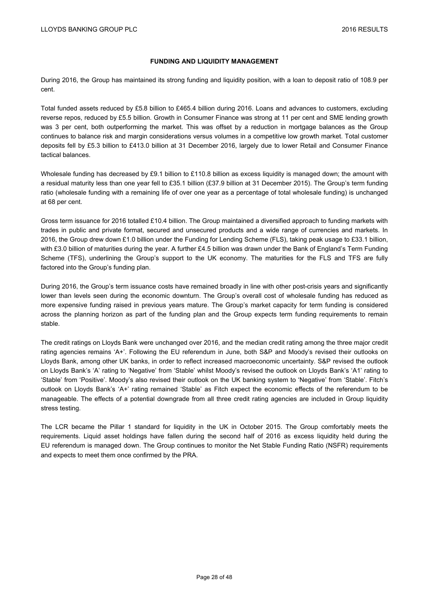## **FUNDING AND LIQUIDITY MANAGEMENT**

During 2016, the Group has maintained its strong funding and liquidity position, with a loan to deposit ratio of 108.9 per cent.

Total funded assets reduced by £5.8 billion to £465.4 billion during 2016. Loans and advances to customers, excluding reverse repos, reduced by £5.5 billion. Growth in Consumer Finance was strong at 11 per cent and SME lending growth was 3 per cent, both outperforming the market. This was offset by a reduction in mortgage balances as the Group continues to balance risk and margin considerations versus volumes in a competitive low growth market. Total customer deposits fell by £5.3 billion to £413.0 billion at 31 December 2016, largely due to lower Retail and Consumer Finance tactical balances.

Wholesale funding has decreased by £9.1 billion to £110.8 billion as excess liquidity is managed down; the amount with a residual maturity less than one year fell to £35.1 billion (£37.9 billion at 31 December 2015). The Group's term funding ratio (wholesale funding with a remaining life of over one year as a percentage of total wholesale funding) is unchanged at 68 per cent.

Gross term issuance for 2016 totalled £10.4 billion. The Group maintained a diversified approach to funding markets with trades in public and private format, secured and unsecured products and a wide range of currencies and markets. In 2016, the Group drew down £1.0 billion under the Funding for Lending Scheme (FLS), taking peak usage to £33.1 billion, with £3.0 billion of maturities during the year. A further £4.5 billion was drawn under the Bank of England's Term Funding Scheme (TFS), underlining the Group's support to the UK economy. The maturities for the FLS and TFS are fully factored into the Group's funding plan.

During 2016, the Group's term issuance costs have remained broadly in line with other post-crisis years and significantly lower than levels seen during the economic downturn. The Group's overall cost of wholesale funding has reduced as more expensive funding raised in previous years mature. The Group's market capacity for term funding is considered across the planning horizon as part of the funding plan and the Group expects term funding requirements to remain stable.

The credit ratings on Lloyds Bank were unchanged over 2016, and the median credit rating among the three major credit rating agencies remains 'A+'. Following the EU referendum in June, both S&P and Moody's revised their outlooks on Lloyds Bank, among other UK banks, in order to reflect increased macroeconomic uncertainty. S&P revised the outlook on Lloyds Bank's 'A' rating to 'Negative' from 'Stable' whilst Moody's revised the outlook on Lloyds Bank's 'A1' rating to 'Stable' from 'Positive'. Moody's also revised their outlook on the UK banking system to 'Negative' from 'Stable'. Fitch's outlook on Lloyds Bank's 'A+' rating remained 'Stable' as Fitch expect the economic effects of the referendum to be manageable. The effects of a potential downgrade from all three credit rating agencies are included in Group liquidity stress testing.

The LCR became the Pillar 1 standard for liquidity in the UK in October 2015. The Group comfortably meets the requirements. Liquid asset holdings have fallen during the second half of 2016 as excess liquidity held during the EU referendum is managed down. The Group continues to monitor the Net Stable Funding Ratio (NSFR) requirements and expects to meet them once confirmed by the PRA.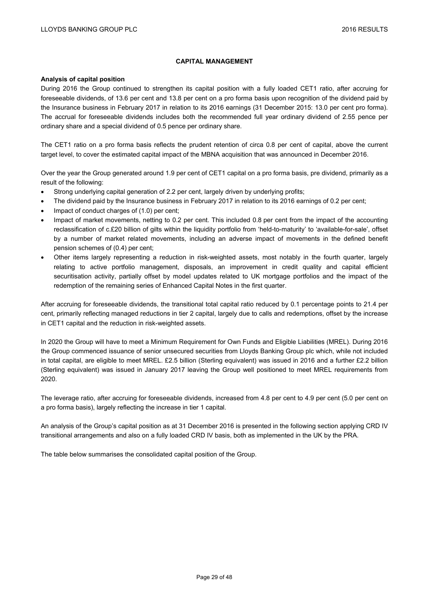## **CAPITAL MANAGEMENT**

## **Analysis of capital position**

During 2016 the Group continued to strengthen its capital position with a fully loaded CET1 ratio, after accruing for foreseeable dividends, of 13.6 per cent and 13.8 per cent on a pro forma basis upon recognition of the dividend paid by the Insurance business in February 2017 in relation to its 2016 earnings (31 December 2015: 13.0 per cent pro forma). The accrual for foreseeable dividends includes both the recommended full year ordinary dividend of 2.55 pence per ordinary share and a special dividend of 0.5 pence per ordinary share.

The CET1 ratio on a pro forma basis reflects the prudent retention of circa 0.8 per cent of capital, above the current target level, to cover the estimated capital impact of the MBNA acquisition that was announced in December 2016.

Over the year the Group generated around 1.9 per cent of CET1 capital on a pro forma basis, pre dividend, primarily as a result of the following:

- Strong underlying capital generation of 2.2 per cent, largely driven by underlying profits;
- The dividend paid by the Insurance business in February 2017 in relation to its 2016 earnings of 0.2 per cent;
- Impact of conduct charges of (1.0) per cent;
- Impact of market movements, netting to 0.2 per cent. This included 0.8 per cent from the impact of the accounting reclassification of c.£20 billion of gilts within the liquidity portfolio from 'held-to-maturity' to 'available-for-sale', offset by a number of market related movements, including an adverse impact of movements in the defined benefit pension schemes of (0.4) per cent;
- Other items largely representing a reduction in risk-weighted assets, most notably in the fourth quarter, largely relating to active portfolio management, disposals, an improvement in credit quality and capital efficient securitisation activity, partially offset by model updates related to UK mortgage portfolios and the impact of the redemption of the remaining series of Enhanced Capital Notes in the first quarter.

After accruing for foreseeable dividends, the transitional total capital ratio reduced by 0.1 percentage points to 21.4 per cent, primarily reflecting managed reductions in tier 2 capital, largely due to calls and redemptions, offset by the increase in CET1 capital and the reduction in risk-weighted assets.

In 2020 the Group will have to meet a Minimum Requirement for Own Funds and Eligible Liabilities (MREL). During 2016 the Group commenced issuance of senior unsecured securities from Lloyds Banking Group plc which, while not included in total capital, are eligible to meet MREL. £2.5 billion (Sterling equivalent) was issued in 2016 and a further £2.2 billion (Sterling equivalent) was issued in January 2017 leaving the Group well positioned to meet MREL requirements from 2020.

The leverage ratio, after accruing for foreseeable dividends, increased from 4.8 per cent to 4.9 per cent (5.0 per cent on a pro forma basis), largely reflecting the increase in tier 1 capital.

An analysis of the Group's capital position as at 31 December 2016 is presented in the following section applying CRD IV transitional arrangements and also on a fully loaded CRD IV basis, both as implemented in the UK by the PRA.

The table below summarises the consolidated capital position of the Group.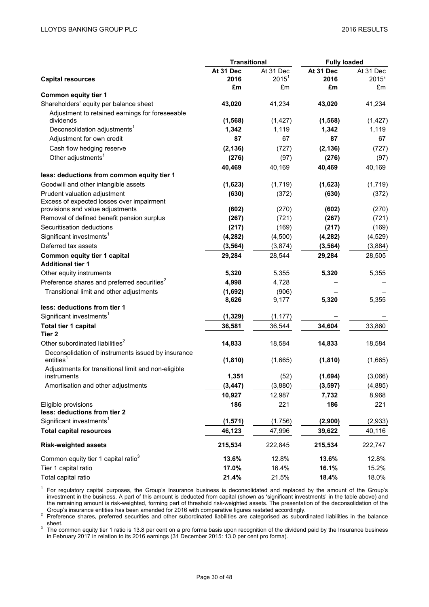|                                                                           | <b>Transitional</b> |           | <b>Fully loaded</b> |           |  |
|---------------------------------------------------------------------------|---------------------|-----------|---------------------|-----------|--|
|                                                                           | At 31 Dec           | At 31 Dec | At 31 Dec           | At 31 Dec |  |
| <b>Capital resources</b>                                                  | 2016                | $2015^1$  | 2016                | 20151     |  |
|                                                                           | £m                  | £m        | £m                  | £m        |  |
| <b>Common equity tier 1</b>                                               |                     |           |                     |           |  |
| Shareholders' equity per balance sheet                                    | 43,020              | 41,234    | 43,020              | 41,234    |  |
| Adjustment to retained earnings for foreseeable<br>dividends              | (1, 568)            | (1, 427)  | (1, 568)            | (1, 427)  |  |
| Deconsolidation adjustments <sup>1</sup>                                  | 1,342               | 1,119     | 1,342               | 1,119     |  |
| Adjustment for own credit                                                 | 87                  | 67        | 87                  | 67        |  |
|                                                                           |                     |           |                     |           |  |
| Cash flow hedging reserve                                                 | (2, 136)            | (727)     | (2, 136)            | (727)     |  |
| Other adjustments <sup>1</sup>                                            | (276)               | (97)      | (276)               | (97)      |  |
| less: deductions from common equity tier 1                                | 40,469              | 40,169    | 40,469              | 40,169    |  |
| Goodwill and other intangible assets                                      | (1,623)             | (1,719)   | (1,623)             | (1,719)   |  |
|                                                                           |                     |           |                     |           |  |
| Prudent valuation adjustment<br>Excess of expected losses over impairment | (630)               | (372)     | (630)               | (372)     |  |
| provisions and value adjustments                                          | (602)               | (270)     | (602)               | (270)     |  |
| Removal of defined benefit pension surplus                                | (267)               | (721)     | (267)               | (721)     |  |
| Securitisation deductions                                                 | (217)               | (169)     | (217)               | (169)     |  |
| Significant investments <sup>1</sup>                                      | (4, 282)            | (4,500)   | (4, 282)            | (4, 529)  |  |
| Deferred tax assets                                                       | (3, 564)            | (3,874)   | (3, 564)            | (3,884)   |  |
| Common equity tier 1 capital                                              | 29,284              | 28,544    | 29,284              | 28,505    |  |
| <b>Additional tier 1</b>                                                  |                     |           |                     |           |  |
| Other equity instruments                                                  | 5,320               | 5,355     | 5,320               | 5,355     |  |
| Preference shares and preferred securities <sup>2</sup>                   | 4,998               | 4,728     |                     |           |  |
| Transitional limit and other adjustments                                  | (1,692)             | (906)     |                     |           |  |
|                                                                           | 8,626               | 9,177     | 5,320               | 5,355     |  |
| less: deductions from tier 1                                              |                     |           |                     |           |  |
| Significant investments <sup>1</sup>                                      | (1, 329)            | (1, 177)  |                     |           |  |
| Total tier 1 capital                                                      | 36,581              | 36,544    | 34,604              | 33,860    |  |
| Tier 2                                                                    |                     |           |                     |           |  |
| Other subordinated liabilities <sup>2</sup>                               | 14,833              | 18,584    | 14,833              | 18,584    |  |
| Deconsolidation of instruments issued by insurance                        |                     |           |                     |           |  |
| entities <sup>1</sup>                                                     | (1, 810)            | (1,665)   | (1, 810)            | (1,665)   |  |
| Adjustments for transitional limit and non-eligible<br>instruments        | 1,351               | (52)      | (1,694)             | (3,066)   |  |
| Amortisation and other adjustments                                        | (3, 447)            | (3,880)   | (3, 597)            | (4, 885)  |  |
|                                                                           | 10,927              | 12,987    | 7,732               | 8,968     |  |
| Eligible provisions                                                       | 186                 | 221       | 186                 | 221       |  |
| less: deductions from tier 2                                              |                     |           |                     |           |  |
| Significant investments <sup>1</sup>                                      | (1, 571)            | (1,756)   | (2,900)             | (2,933)   |  |
| <b>Total capital resources</b>                                            | 46,123              | 47,996    | 39,622              | 40,116    |  |
| <b>Risk-weighted assets</b>                                               | 215,534             | 222,845   | 215,534             | 222,747   |  |
| Common equity tier 1 capital ratio <sup>3</sup>                           | 13.6%               | 12.8%     | 13.6%               | 12.8%     |  |
| Tier 1 capital ratio                                                      | 17.0%               | 16.4%     |                     |           |  |
|                                                                           |                     |           | 16.1%               | 15.2%     |  |
| Total capital ratio                                                       | 21.4%               | 21.5%     | 18.4%               | 18.0%     |  |

<sup>1</sup> For regulatory capital purposes, the Group's Insurance business is deconsolidated and replaced by the amount of the Group's investment in the business. A part of this amount is deducted from capital (shown as 'significant investments' in the table above) and the remaining amount is risk-weighted, forming part of threshold risk-weighted assets. The presentation of the deconsolidation of the Group's insurance entities has been amended for 2016 with comparative figures restated a

<sup>2</sup> Preference shares, preferred securities and other subordinated liabilities are categorised as subordinated liabilities in the balance

sheet.<br><sup>3</sup> The common equity tier 1 ratio is 13.8 per cent on a pro forma basis upon recognition of the dividend paid by the Insurance business in February 2017 in relation to its 2016 earnings (31 December 2015: 13.0 per cent pro forma).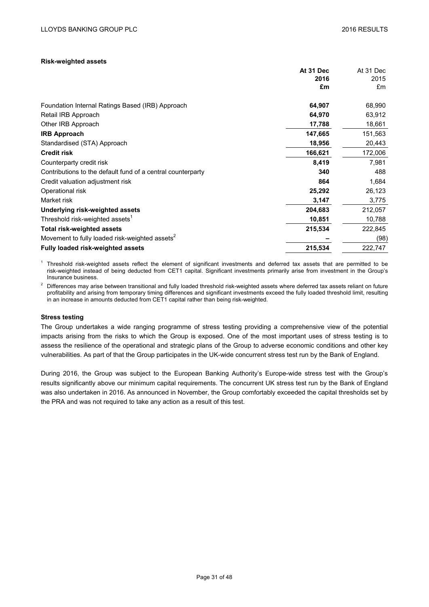## **Risk-weighted assets**

|                                                             | At 31 Dec | At 31 Dec |
|-------------------------------------------------------------|-----------|-----------|
|                                                             | 2016      | 2015      |
|                                                             | £m        | £m        |
| Foundation Internal Ratings Based (IRB) Approach            | 64,907    | 68,990    |
| Retail IRB Approach                                         | 64,970    | 63,912    |
| Other IRB Approach                                          | 17,788    | 18,661    |
| <b>IRB Approach</b>                                         | 147,665   | 151,563   |
| Standardised (STA) Approach                                 | 18,956    | 20,443    |
| <b>Credit risk</b>                                          | 166,621   | 172,006   |
| Counterparty credit risk                                    | 8,419     | 7,981     |
| Contributions to the default fund of a central counterparty | 340       | 488       |
| Credit valuation adjustment risk                            | 864       | 1,684     |
| Operational risk                                            | 25,292    | 26,123    |
| Market risk                                                 | 3,147     | 3,775     |
| Underlying risk-weighted assets                             | 204,683   | 212,057   |
| Threshold risk-weighted assets <sup>1</sup>                 | 10,851    | 10,788    |
| <b>Total risk-weighted assets</b>                           | 215,534   | 222,845   |
| Movement to fully loaded risk-weighted assets <sup>2</sup>  |           | (98)      |
| <b>Fully loaded risk-weighted assets</b>                    | 215,534   | 222,747   |

 $1$  Threshold risk-weighted assets reflect the element of significant investments and deferred tax assets that are permitted to be risk-weighted instead of being deducted from CET1 capital. Significant investments primarily arise from investment in the Group's Insurance business.

<sup>2</sup> Differences may arise between transitional and fully loaded threshold risk-weighted assets where deferred tax assets reliant on future profitability and arising from temporary timing differences and significant investments exceed the fully loaded threshold limit, resulting in an increase in amounts deducted from CET1 capital rather than being risk-weighted.

## **Stress testing**

The Group undertakes a wide ranging programme of stress testing providing a comprehensive view of the potential impacts arising from the risks to which the Group is exposed. One of the most important uses of stress testing is to assess the resilience of the operational and strategic plans of the Group to adverse economic conditions and other key vulnerabilities. As part of that the Group participates in the UK-wide concurrent stress test run by the Bank of England.

During 2016, the Group was subject to the European Banking Authority's Europe-wide stress test with the Group's results significantly above our minimum capital requirements. The concurrent UK stress test run by the Bank of England was also undertaken in 2016. As announced in November, the Group comfortably exceeded the capital thresholds set by the PRA and was not required to take any action as a result of this test.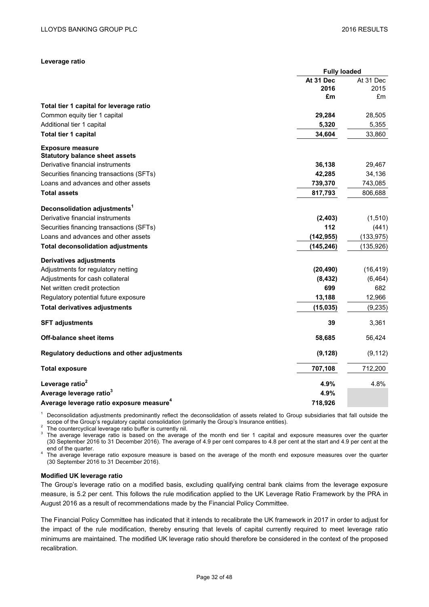## **Leverage ratio**

|                                                      | <b>Fully loaded</b> |            |
|------------------------------------------------------|---------------------|------------|
|                                                      | At 31 Dec           | At 31 Dec  |
|                                                      | 2016                | 2015       |
|                                                      | £m                  | £m         |
| Total tier 1 capital for leverage ratio              |                     |            |
| Common equity tier 1 capital                         | 29,284              | 28,505     |
| Additional tier 1 capital                            | 5,320               | 5,355      |
| <b>Total tier 1 capital</b>                          | 34,604              | 33,860     |
| <b>Exposure measure</b>                              |                     |            |
| <b>Statutory balance sheet assets</b>                |                     |            |
| Derivative financial instruments                     | 36,138              | 29,467     |
| Securities financing transactions (SFTs)             | 42,285              | 34,136     |
| Loans and advances and other assets                  | 739,370             | 743,085    |
| <b>Total assets</b>                                  | 817,793             | 806,688    |
| Deconsolidation adjustments <sup>1</sup>             |                     |            |
| Derivative financial instruments                     | (2, 403)            | (1,510)    |
| Securities financing transactions (SFTs)             | 112                 | (441)      |
| Loans and advances and other assets                  | (142, 955)          | (133, 975) |
| <b>Total deconsolidation adjustments</b>             | (145, 246)          | (135, 926) |
| <b>Derivatives adjustments</b>                       |                     |            |
| Adjustments for regulatory netting                   | (20, 490)           | (16, 419)  |
| Adjustments for cash collateral                      | (8, 432)            | (6, 464)   |
| Net written credit protection                        | 699                 | 682        |
| Regulatory potential future exposure                 | 13,188              | 12,966     |
| <b>Total derivatives adjustments</b>                 | (15, 035)           | (9, 235)   |
| <b>SFT adjustments</b>                               | 39                  | 3,361      |
| <b>Off-balance sheet items</b>                       | 58,685              | 56,424     |
| Regulatory deductions and other adjustments          | (9, 128)            | (9, 112)   |
| <b>Total exposure</b>                                | 707,108             | 712,200    |
| Leverage ratio <sup>2</sup>                          | 4.9%                | 4.8%       |
| Average leverage ratio <sup>3</sup>                  | 4.9%                |            |
| Average leverage ratio exposure measure <sup>4</sup> | 718,926             |            |

<sup>1</sup> Deconsolidation adjustments predominantly reflect the deconsolidation of assets related to Group subsidiaries that fall outside the scope of the Group's regulatory capital consolidation (primarily the Group's Insurance

The countercyclical leverage ratio buffer is currently nil.<br><sup>3</sup> The average leverage ratio is based on the average of the month end tier 1 capital and exposure measures over the quarter (30 September 2016 to 31 December 2016). The average of 4.9 per cent compares to 4.8 per cent at the start and 4.9 per cent at the

end of the quarter.<br><sup>4</sup> The average leverage ratio exposure measure is based on the average of the month end exposure measures over the quarter (30 September 2016 to 31 December 2016).

## **Modified UK leverage ratio**

The Group's leverage ratio on a modified basis, excluding qualifying central bank claims from the leverage exposure measure, is 5.2 per cent. This follows the rule modification applied to the UK Leverage Ratio Framework by the PRA in August 2016 as a result of recommendations made by the Financial Policy Committee.

The Financial Policy Committee has indicated that it intends to recalibrate the UK framework in 2017 in order to adjust for the impact of the rule modification, thereby ensuring that levels of capital currently required to meet leverage ratio minimums are maintained. The modified UK leverage ratio should therefore be considered in the context of the proposed recalibration.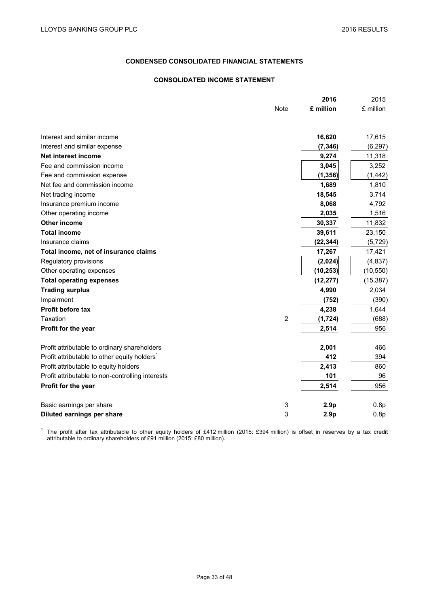## **CONDENSED CONSOLIDATED FINANCIAL STATEMENTS**

## **CONSOLIDATED INCOME STATEMENT**

|                                                          |                | 2016             | 2015      |
|----------------------------------------------------------|----------------|------------------|-----------|
|                                                          | <b>Note</b>    | £ million        | £ million |
|                                                          |                |                  |           |
| Interest and similar income                              |                | 16,620           | 17,615    |
| Interest and similar expense                             |                | (7, 346)         | (6, 297)  |
| Net interest income                                      |                | 9,274            | 11,318    |
| Fee and commission income                                |                | 3,045            | 3,252     |
| Fee and commission expense                               |                | (1, 356)         | (1, 442)  |
| Net fee and commission income                            |                | 1,689            | 1,810     |
| Net trading income                                       |                | 18,545           | 3,714     |
| Insurance premium income                                 |                | 8,068            | 4,792     |
| Other operating income                                   |                | 2,035            | 1,516     |
| Other income                                             |                | 30,337           | 11,832    |
| <b>Total income</b>                                      |                | 39,611           | 23,150    |
| Insurance claims                                         |                | (22, 344)        | (5, 729)  |
| Total income, net of insurance claims                    |                | 17,267           | 17,421    |
| Regulatory provisions                                    |                | (2,024)          | (4, 837)  |
| Other operating expenses                                 |                | (10, 253)        | (10, 550) |
| <b>Total operating expenses</b>                          |                | (12, 277)        | (15, 387) |
| <b>Trading surplus</b>                                   |                | 4,990            | 2,034     |
| Impairment                                               |                | (752)            | (390)     |
| <b>Profit before tax</b>                                 |                | 4,238            | 1,644     |
| Taxation                                                 | $\overline{2}$ | (1, 724)         | (688)     |
| Profit for the year                                      |                | 2,514            | 956       |
| Profit attributable to ordinary shareholders             |                | 2,001            | 466       |
| Profit attributable to other equity holders <sup>1</sup> |                | 412              | 394       |
| Profit attributable to equity holders                    |                | 2,413            | 860       |
| Profit attributable to non-controlling interests         |                | 101              | 96        |
| Profit for the year                                      |                | 2,514            | 956       |
|                                                          |                |                  |           |
| Basic earnings per share                                 | 3              | 2.9 <sub>p</sub> | 0.8p      |
| Diluted earnings per share                               | 3              | 2.9 <sub>p</sub> | 0.8p      |

<sup>1</sup> The profit after tax attributable to other equity holders of £412 million (2015: £394 million) is offset in reserves by a tax credit attributable to ordinary shareholders of £91 million (2015: £80 million).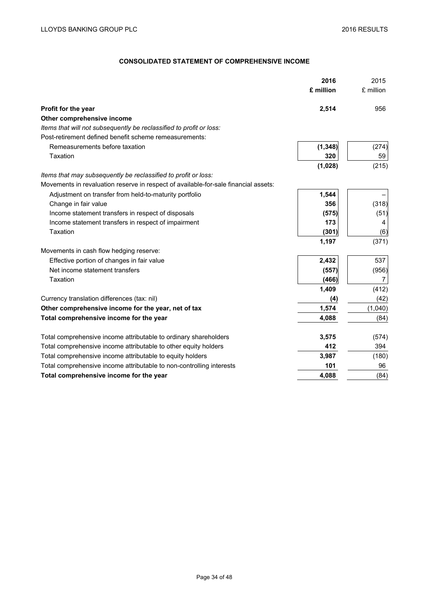# **CONSOLIDATED STATEMENT OF COMPREHENSIVE INCOME**

|                                                                                     | 2016      | 2015      |
|-------------------------------------------------------------------------------------|-----------|-----------|
|                                                                                     | £ million | £ million |
| Profit for the year                                                                 | 2,514     | 956       |
| Other comprehensive income                                                          |           |           |
| Items that will not subsequently be reclassified to profit or loss:                 |           |           |
| Post-retirement defined benefit scheme remeasurements:                              |           |           |
| Remeasurements before taxation                                                      | (1, 348)  | (274)     |
| Taxation                                                                            | 320       | 59        |
|                                                                                     | (1,028)   | (215)     |
| Items that may subsequently be reclassified to profit or loss:                      |           |           |
| Movements in revaluation reserve in respect of available-for-sale financial assets: |           |           |
| Adjustment on transfer from held-to-maturity portfolio                              | 1,544     |           |
| Change in fair value                                                                | 356       | (318)     |
| Income statement transfers in respect of disposals                                  | (575)     | (51)      |
| Income statement transfers in respect of impairment                                 | 173       | 4         |
| Taxation                                                                            | (301)     | (6)       |
|                                                                                     | 1,197     | (371)     |
| Movements in cash flow hedging reserve:                                             |           |           |
| Effective portion of changes in fair value                                          | 2,432     | 537       |
| Net income statement transfers                                                      | (557)     | (956)     |
| Taxation                                                                            | (466)     | 7         |
|                                                                                     | 1,409     | (412)     |
| Currency translation differences (tax: nil)                                         | (4)       | (42)      |
| Other comprehensive income for the year, net of tax                                 | 1,574     | (1,040)   |
| Total comprehensive income for the year                                             | 4,088     | (84)      |
|                                                                                     |           |           |
| Total comprehensive income attributable to ordinary shareholders                    | 3,575     | (574)     |
| Total comprehensive income attributable to other equity holders                     | 412       | 394       |
| Total comprehensive income attributable to equity holders                           | 3,987     | (180)     |
| Total comprehensive income attributable to non-controlling interests                | 101       | 96        |
| Total comprehensive income for the year                                             | 4,088     | (84)      |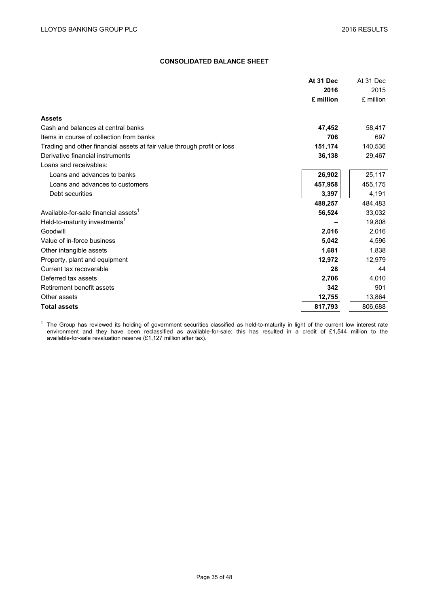## **CONSOLIDATED BALANCE SHEET**

|                                                                         | At 31 Dec | At 31 Dec |
|-------------------------------------------------------------------------|-----------|-----------|
|                                                                         | 2016      | 2015      |
|                                                                         | £ million | £ million |
| <b>Assets</b>                                                           |           |           |
| Cash and balances at central banks                                      | 47,452    | 58,417    |
| Items in course of collection from banks                                | 706       | 697       |
| Trading and other financial assets at fair value through profit or loss | 151,174   | 140,536   |
| Derivative financial instruments                                        | 36,138    | 29,467    |
| Loans and receivables:                                                  |           |           |
| Loans and advances to banks                                             | 26,902    | 25,117    |
| Loans and advances to customers                                         | 457,958   | 455,175   |
| Debt securities                                                         | 3,397     | 4,191     |
|                                                                         | 488,257   | 484,483   |
| Available-for-sale financial assets <sup>1</sup>                        | 56,524    | 33,032    |
| Held-to-maturity investments <sup>1</sup>                               |           | 19,808    |
| Goodwill                                                                | 2,016     | 2,016     |
| Value of in-force business                                              | 5,042     | 4,596     |
| Other intangible assets                                                 | 1,681     | 1,838     |
| Property, plant and equipment                                           | 12,972    | 12,979    |
| Current tax recoverable                                                 | 28        | 44        |
| Deferred tax assets                                                     | 2,706     | 4,010     |
| Retirement benefit assets                                               | 342       | 901       |
| Other assets                                                            | 12,755    | 13,864    |
| <b>Total assets</b>                                                     | 817,793   | 806,688   |
|                                                                         |           |           |

 $1$  The Group has reviewed its holding of government securities classified as held-to-maturity in light of the current low interest rate environment and they have been reclassified as available-for-sale; this has resulted in a credit of £1,544 million to the available-for-sale revaluation reserve (£1,127 million after tax).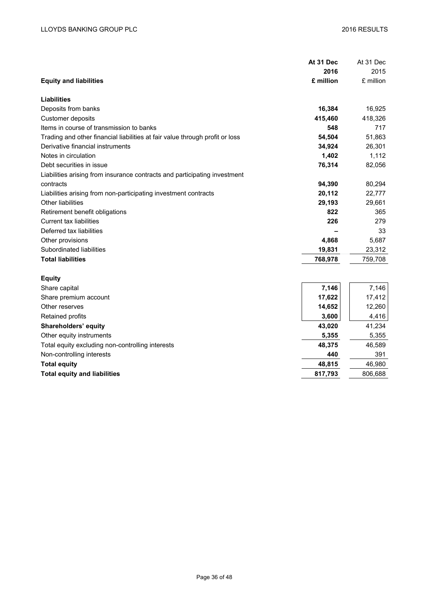|                                                                              | At 31 Dec | At 31 Dec |
|------------------------------------------------------------------------------|-----------|-----------|
|                                                                              | 2016      | 2015      |
| <b>Equity and liabilities</b>                                                | £ million | £ million |
| Liabilities                                                                  |           |           |
| Deposits from banks                                                          | 16,384    | 16,925    |
| Customer deposits                                                            | 415,460   | 418,326   |
| Items in course of transmission to banks                                     | 548       | 717       |
| Trading and other financial liabilities at fair value through profit or loss | 54,504    | 51,863    |
| Derivative financial instruments                                             | 34,924    | 26,301    |
| Notes in circulation                                                         | 1,402     | 1,112     |
| Debt securities in issue                                                     | 76,314    | 82,056    |
| Liabilities arising from insurance contracts and participating investment    |           |           |
| contracts                                                                    | 94,390    | 80,294    |
| Liabilities arising from non-participating investment contracts              | 20,112    | 22,777    |
| <b>Other liabilities</b>                                                     | 29,193    | 29,661    |
| Retirement benefit obligations                                               | 822       | 365       |
| <b>Current tax liabilities</b>                                               | 226       | 279       |
| Deferred tax liabilities                                                     |           | 33        |
| Other provisions                                                             | 4,868     | 5,687     |
| Subordinated liabilities                                                     | 19,831    | 23,312    |
| <b>Total liabilities</b>                                                     | 768,978   | 759,708   |
| <b>Equity</b>                                                                |           |           |
| Share capital                                                                | 7,146     | 7,146     |
| Share premium account                                                        | 17,622    | 17,412    |
| Other reserves                                                               | 14,652    | 12,260    |
| Retained profits                                                             | 3,600     | 4,416     |
| Shareholders' equity                                                         | 43,020    | 41,234    |
| Other equity instruments                                                     | 5,355     | 5,355     |
| Total equity excluding non-controlling interests                             | 48,375    | 46,589    |
| Non-controlling interests                                                    | 440       | 391       |
| <b>Total equity</b>                                                          | 48,815    | 46,980    |
| <b>Total equity and liabilities</b>                                          | 817,793   | 806,688   |
|                                                                              |           |           |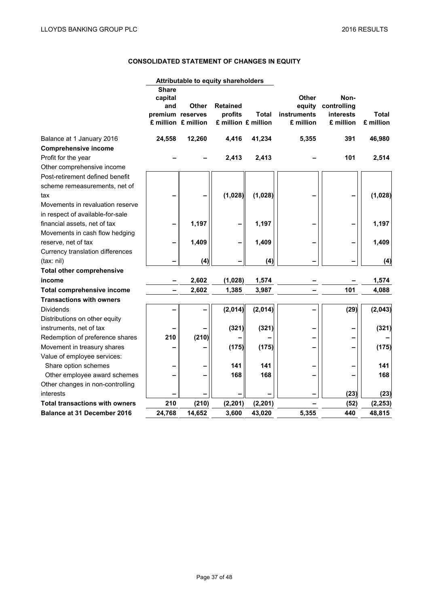# **CONSOLIDATED STATEMENT OF CHANGES IN EQUITY**

| <b>Share</b><br><b>Other</b><br>Non-<br>capital<br><b>Retained</b><br>and<br><b>Other</b><br>equity<br>controlling<br>premium reserves<br>profits<br>Total<br><b>instruments</b><br><b>interests</b><br>£ million £ million<br>£ million<br>£ million<br>£ million £ million<br>£ million<br>24,558<br>12,260<br>4,416<br>41,234<br>5,355<br>391<br>Balance at 1 January 2016<br><b>Comprehensive income</b><br>Profit for the year<br>2,413<br>2,413<br>101<br>Other comprehensive income<br>Post-retirement defined benefit<br>scheme remeasurements, net of<br>(1,028)<br>(1,028)<br>tax<br>Movements in revaluation reserve<br>in respect of available-for-sale<br>1,197<br>1,197<br>financial assets, net of tax<br>Movements in cash flow hedging<br>1,409<br>1,409<br>reserve, net of tax<br>Currency translation differences<br>(4)<br>(4)<br>(tax: nil)<br><b>Total other comprehensive</b><br>2,602<br>(1,028)<br>1,574<br>income<br>2,602<br>101<br><b>Total comprehensive income</b><br>1,385<br>3,987<br><b>Transactions with owners</b><br>(2,014)<br>(29)<br>(2,014)<br>Dividends<br>Distributions on other equity<br>(321)<br>(321)<br>instruments, net of tax<br>(210)<br>210<br>Redemption of preference shares<br>(175)<br>(175)<br>Movement in treasury shares |          |  |  | Attributable to equity shareholders |  |  |
|------------------------------------------------------------------------------------------------------------------------------------------------------------------------------------------------------------------------------------------------------------------------------------------------------------------------------------------------------------------------------------------------------------------------------------------------------------------------------------------------------------------------------------------------------------------------------------------------------------------------------------------------------------------------------------------------------------------------------------------------------------------------------------------------------------------------------------------------------------------------------------------------------------------------------------------------------------------------------------------------------------------------------------------------------------------------------------------------------------------------------------------------------------------------------------------------------------------------------------------------------------------------------------|----------|--|--|-------------------------------------|--|--|
|                                                                                                                                                                                                                                                                                                                                                                                                                                                                                                                                                                                                                                                                                                                                                                                                                                                                                                                                                                                                                                                                                                                                                                                                                                                                                    | Total    |  |  |                                     |  |  |
|                                                                                                                                                                                                                                                                                                                                                                                                                                                                                                                                                                                                                                                                                                                                                                                                                                                                                                                                                                                                                                                                                                                                                                                                                                                                                    | 46,980   |  |  |                                     |  |  |
|                                                                                                                                                                                                                                                                                                                                                                                                                                                                                                                                                                                                                                                                                                                                                                                                                                                                                                                                                                                                                                                                                                                                                                                                                                                                                    |          |  |  |                                     |  |  |
|                                                                                                                                                                                                                                                                                                                                                                                                                                                                                                                                                                                                                                                                                                                                                                                                                                                                                                                                                                                                                                                                                                                                                                                                                                                                                    | 2,514    |  |  |                                     |  |  |
|                                                                                                                                                                                                                                                                                                                                                                                                                                                                                                                                                                                                                                                                                                                                                                                                                                                                                                                                                                                                                                                                                                                                                                                                                                                                                    |          |  |  |                                     |  |  |
|                                                                                                                                                                                                                                                                                                                                                                                                                                                                                                                                                                                                                                                                                                                                                                                                                                                                                                                                                                                                                                                                                                                                                                                                                                                                                    |          |  |  |                                     |  |  |
|                                                                                                                                                                                                                                                                                                                                                                                                                                                                                                                                                                                                                                                                                                                                                                                                                                                                                                                                                                                                                                                                                                                                                                                                                                                                                    |          |  |  |                                     |  |  |
|                                                                                                                                                                                                                                                                                                                                                                                                                                                                                                                                                                                                                                                                                                                                                                                                                                                                                                                                                                                                                                                                                                                                                                                                                                                                                    | (1,028)  |  |  |                                     |  |  |
|                                                                                                                                                                                                                                                                                                                                                                                                                                                                                                                                                                                                                                                                                                                                                                                                                                                                                                                                                                                                                                                                                                                                                                                                                                                                                    |          |  |  |                                     |  |  |
|                                                                                                                                                                                                                                                                                                                                                                                                                                                                                                                                                                                                                                                                                                                                                                                                                                                                                                                                                                                                                                                                                                                                                                                                                                                                                    |          |  |  |                                     |  |  |
|                                                                                                                                                                                                                                                                                                                                                                                                                                                                                                                                                                                                                                                                                                                                                                                                                                                                                                                                                                                                                                                                                                                                                                                                                                                                                    | 1,197    |  |  |                                     |  |  |
|                                                                                                                                                                                                                                                                                                                                                                                                                                                                                                                                                                                                                                                                                                                                                                                                                                                                                                                                                                                                                                                                                                                                                                                                                                                                                    |          |  |  |                                     |  |  |
|                                                                                                                                                                                                                                                                                                                                                                                                                                                                                                                                                                                                                                                                                                                                                                                                                                                                                                                                                                                                                                                                                                                                                                                                                                                                                    | 1,409    |  |  |                                     |  |  |
|                                                                                                                                                                                                                                                                                                                                                                                                                                                                                                                                                                                                                                                                                                                                                                                                                                                                                                                                                                                                                                                                                                                                                                                                                                                                                    |          |  |  |                                     |  |  |
|                                                                                                                                                                                                                                                                                                                                                                                                                                                                                                                                                                                                                                                                                                                                                                                                                                                                                                                                                                                                                                                                                                                                                                                                                                                                                    | (4)      |  |  |                                     |  |  |
|                                                                                                                                                                                                                                                                                                                                                                                                                                                                                                                                                                                                                                                                                                                                                                                                                                                                                                                                                                                                                                                                                                                                                                                                                                                                                    |          |  |  |                                     |  |  |
|                                                                                                                                                                                                                                                                                                                                                                                                                                                                                                                                                                                                                                                                                                                                                                                                                                                                                                                                                                                                                                                                                                                                                                                                                                                                                    | 1,574    |  |  |                                     |  |  |
|                                                                                                                                                                                                                                                                                                                                                                                                                                                                                                                                                                                                                                                                                                                                                                                                                                                                                                                                                                                                                                                                                                                                                                                                                                                                                    | 4,088    |  |  |                                     |  |  |
|                                                                                                                                                                                                                                                                                                                                                                                                                                                                                                                                                                                                                                                                                                                                                                                                                                                                                                                                                                                                                                                                                                                                                                                                                                                                                    |          |  |  |                                     |  |  |
|                                                                                                                                                                                                                                                                                                                                                                                                                                                                                                                                                                                                                                                                                                                                                                                                                                                                                                                                                                                                                                                                                                                                                                                                                                                                                    | (2,043)  |  |  |                                     |  |  |
|                                                                                                                                                                                                                                                                                                                                                                                                                                                                                                                                                                                                                                                                                                                                                                                                                                                                                                                                                                                                                                                                                                                                                                                                                                                                                    |          |  |  |                                     |  |  |
|                                                                                                                                                                                                                                                                                                                                                                                                                                                                                                                                                                                                                                                                                                                                                                                                                                                                                                                                                                                                                                                                                                                                                                                                                                                                                    | (321)    |  |  |                                     |  |  |
|                                                                                                                                                                                                                                                                                                                                                                                                                                                                                                                                                                                                                                                                                                                                                                                                                                                                                                                                                                                                                                                                                                                                                                                                                                                                                    |          |  |  |                                     |  |  |
|                                                                                                                                                                                                                                                                                                                                                                                                                                                                                                                                                                                                                                                                                                                                                                                                                                                                                                                                                                                                                                                                                                                                                                                                                                                                                    | (175)    |  |  |                                     |  |  |
| Value of employee services:                                                                                                                                                                                                                                                                                                                                                                                                                                                                                                                                                                                                                                                                                                                                                                                                                                                                                                                                                                                                                                                                                                                                                                                                                                                        |          |  |  |                                     |  |  |
| Share option schemes<br>141<br>141                                                                                                                                                                                                                                                                                                                                                                                                                                                                                                                                                                                                                                                                                                                                                                                                                                                                                                                                                                                                                                                                                                                                                                                                                                                 | 141      |  |  |                                     |  |  |
| 168<br>168<br>Other employee award schemes                                                                                                                                                                                                                                                                                                                                                                                                                                                                                                                                                                                                                                                                                                                                                                                                                                                                                                                                                                                                                                                                                                                                                                                                                                         | 168      |  |  |                                     |  |  |
| Other changes in non-controlling                                                                                                                                                                                                                                                                                                                                                                                                                                                                                                                                                                                                                                                                                                                                                                                                                                                                                                                                                                                                                                                                                                                                                                                                                                                   |          |  |  |                                     |  |  |
| (23)<br>interests                                                                                                                                                                                                                                                                                                                                                                                                                                                                                                                                                                                                                                                                                                                                                                                                                                                                                                                                                                                                                                                                                                                                                                                                                                                                  | (23)     |  |  |                                     |  |  |
| <b>Total transactions with owners</b><br>210<br>(210)<br>(2, 201)<br>(2, 201)<br>(52)                                                                                                                                                                                                                                                                                                                                                                                                                                                                                                                                                                                                                                                                                                                                                                                                                                                                                                                                                                                                                                                                                                                                                                                              | (2, 253) |  |  |                                     |  |  |
| <b>Balance at 31 December 2016</b><br>440<br>24,768<br>14,652<br>3,600<br>43,020<br>5,355                                                                                                                                                                                                                                                                                                                                                                                                                                                                                                                                                                                                                                                                                                                                                                                                                                                                                                                                                                                                                                                                                                                                                                                          | 48,815   |  |  |                                     |  |  |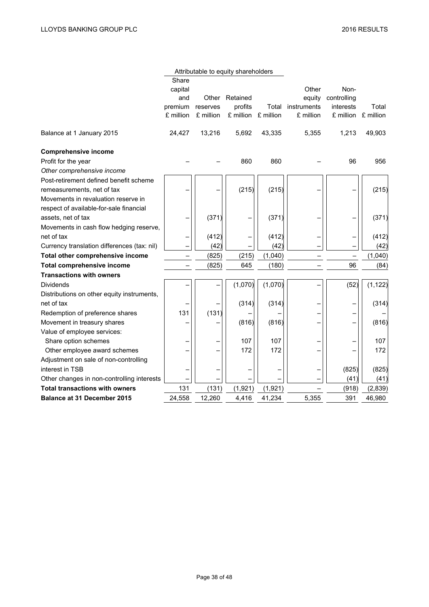|                                             |           |           | Attributable to equity shareholders |           |             |             |           |
|---------------------------------------------|-----------|-----------|-------------------------------------|-----------|-------------|-------------|-----------|
|                                             | Share     |           |                                     |           |             |             |           |
|                                             | capital   |           |                                     |           | Other       | Non-        |           |
|                                             | and       | Other     | Retained                            |           | equity      | controlling |           |
|                                             | premium   | reserves  | profits                             | Total     | instruments | interests   | Total     |
|                                             | £ million | £ million | £ million                           | £ million | £ million   | £ million   | £ million |
| Balance at 1 January 2015                   | 24,427    | 13,216    | 5,692                               | 43,335    | 5,355       | 1,213       | 49,903    |
| <b>Comprehensive income</b>                 |           |           |                                     |           |             |             |           |
| Profit for the year                         |           |           | 860                                 | 860       |             | 96          | 956       |
| Other comprehensive income                  |           |           |                                     |           |             |             |           |
| Post-retirement defined benefit scheme      |           |           |                                     |           |             |             |           |
| remeasurements, net of tax                  |           |           | (215)                               | (215)     |             |             | (215)     |
| Movements in revaluation reserve in         |           |           |                                     |           |             |             |           |
| respect of available-for-sale financial     |           |           |                                     |           |             |             |           |
| assets, net of tax                          |           | (371)     |                                     | (371)     |             |             | (371)     |
| Movements in cash flow hedging reserve,     |           |           |                                     |           |             |             |           |
| net of tax                                  |           | (412)     |                                     | (412)     |             |             | (412)     |
| Currency translation differences (tax: nil) |           | (42)      |                                     | (42)      |             |             | (42)      |
| Total other comprehensive income            | -         | (825)     | (215)                               | (1,040)   |             | —           | (1,040)   |
| Total comprehensive income                  |           | (825)     | 645                                 | (180)     |             | 96          | (84)      |
| <b>Transactions with owners</b>             |           |           |                                     |           |             |             |           |
| <b>Dividends</b>                            |           |           | (1,070)                             | (1,070)   |             | (52)        | (1, 122)  |
| Distributions on other equity instruments,  |           |           |                                     |           |             |             |           |
| net of tax                                  |           |           | (314)                               | (314)     |             |             | (314)     |
| Redemption of preference shares             | 131       | (131)     |                                     |           |             |             |           |
| Movement in treasury shares                 |           |           | (816)                               | (816)     |             |             | (816)     |
| Value of employee services:                 |           |           |                                     |           |             |             |           |
| Share option schemes                        |           |           | 107                                 | 107       |             |             | 107       |
| Other employee award schemes                |           |           | 172                                 | 172       |             |             | 172       |
| Adjustment on sale of non-controlling       |           |           |                                     |           |             |             |           |
| interest in TSB                             |           |           |                                     |           |             | (825)       | (825)     |
| Other changes in non-controlling interests  |           |           |                                     |           |             | (41)        | (41)      |
| <b>Total transactions with owners</b>       | 131       | (131)     | (1, 921)                            | (1,921)   |             | (918)       | (2,839)   |
| <b>Balance at 31 December 2015</b>          | 24.558    | 12.260    | 4,416                               | 41,234    | 5,355       | 391         | 46,980    |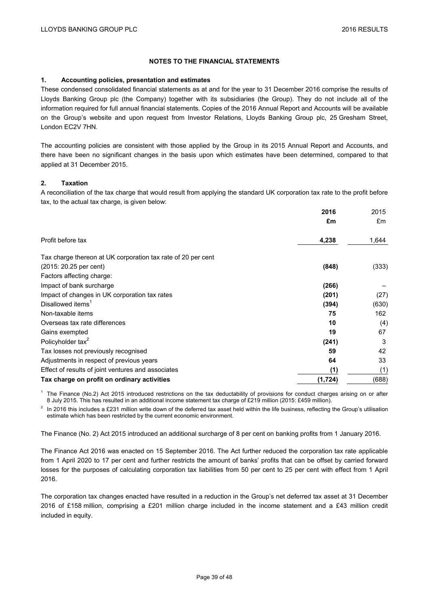## **NOTES TO THE FINANCIAL STATEMENTS**

## **1. Accounting policies, presentation and estimates**

These condensed consolidated financial statements as at and for the year to 31 December 2016 comprise the results of Lloyds Banking Group plc (the Company) together with its subsidiaries (the Group). They do not include all of the information required for full annual financial statements. Copies of the 2016 Annual Report and Accounts will be available on the Group's website and upon request from Investor Relations, Lloyds Banking Group plc, 25 Gresham Street, London EC2V 7HN.

The accounting policies are consistent with those applied by the Group in its 2015 Annual Report and Accounts, and there have been no significant changes in the basis upon which estimates have been determined, compared to that applied at 31 December 2015.

## **2. Taxation**

A reconciliation of the tax charge that would result from applying the standard UK corporation tax rate to the profit before tax, to the actual tax charge, is given below:

|                                                              | 2016     | 2015<br>£m |
|--------------------------------------------------------------|----------|------------|
|                                                              | £m       |            |
| Profit before tax                                            | 4,238    | 1,644      |
| Tax charge thereon at UK corporation tax rate of 20 per cent |          |            |
| (2015: 20.25 per cent)                                       | (848)    | (333)      |
| Factors affecting charge:                                    |          |            |
| Impact of bank surcharge                                     | (266)    |            |
| Impact of changes in UK corporation tax rates                | (201)    | (27)       |
| Disallowed items <sup>1</sup>                                | (394)    | (630)      |
| Non-taxable items                                            | 75       | 162        |
| Overseas tax rate differences                                | 10       | (4)        |
| Gains exempted                                               | 19       | 67         |
| Policyholder tax <sup>2</sup>                                | (241)    | 3          |
| Tax losses not previously recognised                         | 59       | 42         |
| Adjustments in respect of previous years                     | 64       | 33         |
| Effect of results of joint ventures and associates           | (1)      | (1)        |
| Tax charge on profit on ordinary activities                  | (1, 724) | (688)      |

<sup>1</sup> The Finance (No.2) Act 2015 introduced restrictions on the tax deductability of provisions for conduct charges arising on or after 8 July 2015. This has resulted in an additional income statement tax charge of £219 million (2015: £459 million).

 $2$  In 2016 this includes a £231 million write down of the deferred tax asset held within the life business, reflecting the Group's utilisation estimate which has been restricted by the current economic environment.

The Finance (No. 2) Act 2015 introduced an additional surcharge of 8 per cent on banking profits from 1 January 2016.

The Finance Act 2016 was enacted on 15 September 2016. The Act further reduced the corporation tax rate applicable from 1 April 2020 to 17 per cent and further restricts the amount of banks' profits that can be offset by carried forward losses for the purposes of calculating corporation tax liabilities from 50 per cent to 25 per cent with effect from 1 April 2016.

The corporation tax changes enacted have resulted in a reduction in the Group's net deferred tax asset at 31 December 2016 of £158 million, comprising a £201 million charge included in the income statement and a £43 million credit included in equity.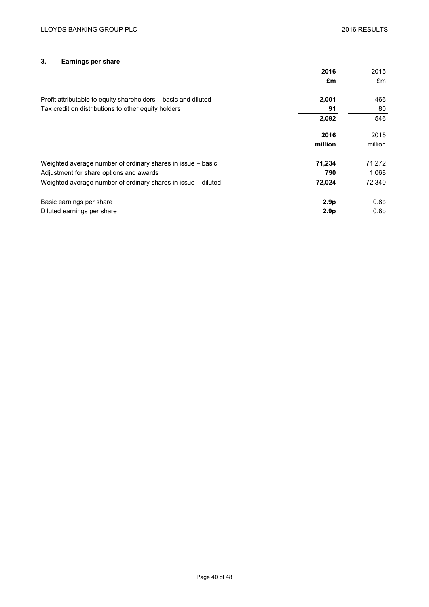# **3. Earnings per share**

|                                                                | 2016             | 2015    |
|----------------------------------------------------------------|------------------|---------|
|                                                                | £m               | £m      |
| Profit attributable to equity shareholders – basic and diluted | 2,001            | 466     |
| Tax credit on distributions to other equity holders            | 91               | 80      |
|                                                                | 2,092            | 546     |
|                                                                | 2016             | 2015    |
|                                                                | million          | million |
| Weighted average number of ordinary shares in issue – basic    | 71,234           | 71,272  |
| Adjustment for share options and awards                        | 790              | 1,068   |
| Weighted average number of ordinary shares in issue – diluted  | 72,024           | 72,340  |
| Basic earnings per share                                       | 2.9 <sub>p</sub> | 0.8p    |
| Diluted earnings per share                                     | 2.9 <sub>p</sub> | 0.8p    |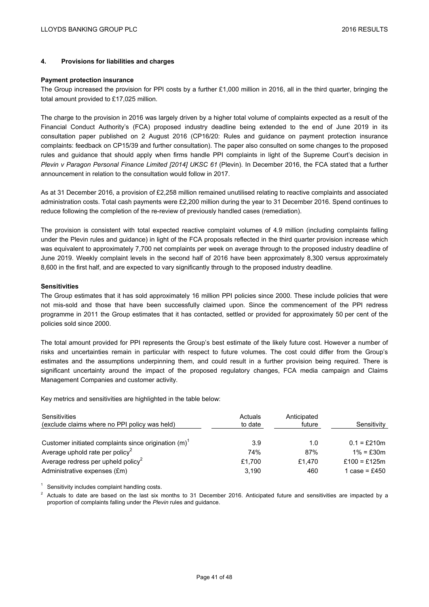## **4. Provisions for liabilities and charges**

#### **Payment protection insurance**

The Group increased the provision for PPI costs by a further £1,000 million in 2016, all in the third quarter, bringing the total amount provided to £17,025 million.

The charge to the provision in 2016 was largely driven by a higher total volume of complaints expected as a result of the Financial Conduct Authority's (FCA) proposed industry deadline being extended to the end of June 2019 in its consultation paper published on 2 August 2016 (CP16/20: Rules and guidance on payment protection insurance complaints: feedback on CP15/39 and further consultation). The paper also consulted on some changes to the proposed rules and guidance that should apply when firms handle PPI complaints in light of the Supreme Court's decision in *Plevin v Paragon Personal Finance Limited [2014] UKSC 61* (Plevin). In December 2016, the FCA stated that a further announcement in relation to the consultation would follow in 2017.

As at 31 December 2016, a provision of £2,258 million remained unutilised relating to reactive complaints and associated administration costs. Total cash payments were £2,200 million during the year to 31 December 2016. Spend continues to reduce following the completion of the re-review of previously handled cases (remediation).

The provision is consistent with total expected reactive complaint volumes of 4.9 million (including complaints falling under the Plevin rules and guidance) in light of the FCA proposals reflected in the third quarter provision increase which was equivalent to approximately 7,700 net complaints per week on average through to the proposed industry deadline of June 2019. Weekly complaint levels in the second half of 2016 have been approximately 8,300 versus approximately 8,600 in the first half, and are expected to vary significantly through to the proposed industry deadline.

#### **Sensitivities**

The Group estimates that it has sold approximately 16 million PPI policies since 2000. These include policies that were not mis-sold and those that have been successfully claimed upon. Since the commencement of the PPI redress programme in 2011 the Group estimates that it has contacted, settled or provided for approximately 50 per cent of the policies sold since 2000.

The total amount provided for PPI represents the Group's best estimate of the likely future cost. However a number of risks and uncertainties remain in particular with respect to future volumes. The cost could differ from the Group's estimates and the assumptions underpinning them, and could result in a further provision being required. There is significant uncertainty around the impact of the proposed regulatory changes, FCA media campaign and Claims Management Companies and customer activity.

Key metrics and sensitivities are highlighted in the table below:

| Sensitivities<br>(exclude claims where no PPI policy was held) | Actuals<br>to date | Anticipated<br>future | Sensitivity   |
|----------------------------------------------------------------|--------------------|-----------------------|---------------|
| Customer initiated complaints since origination $(m)^T$        | 3.9                | 1.0                   | $0.1 = f210m$ |
| Average uphold rate per policy <sup>2</sup>                    | 74%                | 87%                   | $1\% = f30m$  |
| Average redress per upheld policy <sup>2</sup>                 | £1.700             | £1.470                | £100 = £125m  |
| Administrative expenses (£m)                                   | 3.190              | 460                   | 1 case = £450 |

 $1$  Sensitivity includes complaint handling costs.

<sup>2</sup> Actuals to date are based on the last six months to 31 December 2016. Anticipated future and sensitivities are impacted by a proportion of complaints falling under the *Plevin* rules and guidance.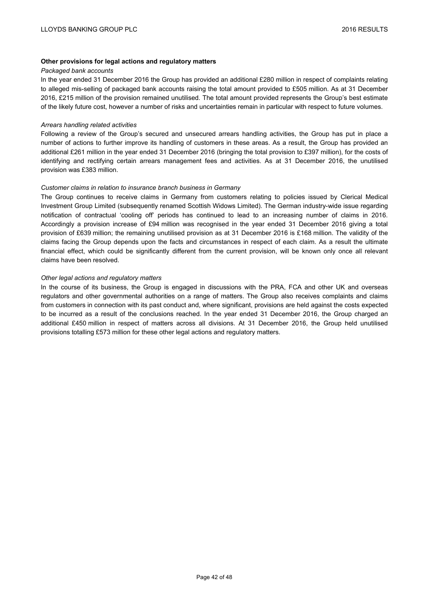## **Other provisions for legal actions and regulatory matters**

#### *Packaged bank accounts*

In the year ended 31 December 2016 the Group has provided an additional £280 million in respect of complaints relating to alleged mis-selling of packaged bank accounts raising the total amount provided to £505 million. As at 31 December 2016, £215 million of the provision remained unutilised*.* The total amount provided represents the Group's best estimate of the likely future cost, however a number of risks and uncertainties remain in particular with respect to future volumes.

## *Arrears handling related activities*

Following a review of the Group's secured and unsecured arrears handling activities, the Group has put in place a number of actions to further improve its handling of customers in these areas. As a result, the Group has provided an additional £261 million in the year ended 31 December 2016 (bringing the total provision to £397 million), for the costs of identifying and rectifying certain arrears management fees and activities. As at 31 December 2016, the unutilised provision was £383 million.

## *Customer claims in relation to insurance branch business in Germany*

The Group continues to receive claims in Germany from customers relating to policies issued by Clerical Medical Investment Group Limited (subsequently renamed Scottish Widows Limited). The German industry-wide issue regarding notification of contractual 'cooling off' periods has continued to lead to an increasing number of claims in 2016. Accordingly a provision increase of £94 million was recognised in the year ended 31 December 2016 giving a total provision of £639 million; the remaining unutilised provision as at 31 December 2016 is £168 million. The validity of the claims facing the Group depends upon the facts and circumstances in respect of each claim. As a result the ultimate financial effect, which could be significantly different from the current provision, will be known only once all relevant claims have been resolved.

#### *Other legal actions and regulatory matters*

In the course of its business, the Group is engaged in discussions with the PRA, FCA and other UK and overseas regulators and other governmental authorities on a range of matters. The Group also receives complaints and claims from customers in connection with its past conduct and, where significant, provisions are held against the costs expected to be incurred as a result of the conclusions reached. In the year ended 31 December 2016, the Group charged an additional £450 million in respect of matters across all divisions. At 31 December 2016, the Group held unutilised provisions totalling £573 million for these other legal actions and regulatory matters.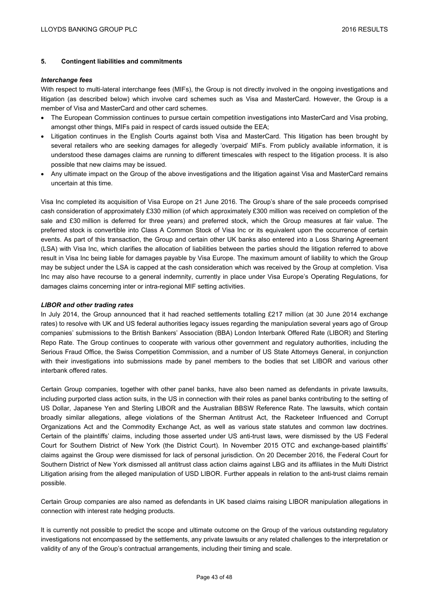## **5. Contingent liabilities and commitments**

#### *Interchange fees*

With respect to multi-lateral interchange fees (MIFs), the Group is not directly involved in the ongoing investigations and litigation (as described below) which involve card schemes such as Visa and MasterCard. However, the Group is a member of Visa and MasterCard and other card schemes.

- The European Commission continues to pursue certain competition investigations into MasterCard and Visa probing, amongst other things, MIFs paid in respect of cards issued outside the EEA;
- Litigation continues in the English Courts against both Visa and MasterCard. This litigation has been brought by several retailers who are seeking damages for allegedly 'overpaid' MIFs. From publicly available information, it is understood these damages claims are running to different timescales with respect to the litigation process. It is also possible that new claims may be issued.
- Any ultimate impact on the Group of the above investigations and the litigation against Visa and MasterCard remains uncertain at this time.

Visa Inc completed its acquisition of Visa Europe on 21 June 2016. The Group's share of the sale proceeds comprised cash consideration of approximately £330 million (of which approximately £300 million was received on completion of the sale and £30 million is deferred for three years) and preferred stock, which the Group measures at fair value. The preferred stock is convertible into Class A Common Stock of Visa Inc or its equivalent upon the occurrence of certain events. As part of this transaction, the Group and certain other UK banks also entered into a Loss Sharing Agreement (LSA) with Visa Inc, which clarifies the allocation of liabilities between the parties should the litigation referred to above result in Visa Inc being liable for damages payable by Visa Europe. The maximum amount of liability to which the Group may be subject under the LSA is capped at the cash consideration which was received by the Group at completion. Visa Inc may also have recourse to a general indemnity, currently in place under Visa Europe's Operating Regulations, for damages claims concerning inter or intra-regional MIF setting activities.

## *LIBOR and other trading rates*

In July 2014, the Group announced that it had reached settlements totalling £217 million (at 30 June 2014 exchange rates) to resolve with UK and US federal authorities legacy issues regarding the manipulation several years ago of Group companies' submissions to the British Bankers' Association (BBA) London Interbank Offered Rate (LIBOR) and Sterling Repo Rate. The Group continues to cooperate with various other government and regulatory authorities, including the Serious Fraud Office, the Swiss Competition Commission, and a number of US State Attorneys General, in conjunction with their investigations into submissions made by panel members to the bodies that set LIBOR and various other interbank offered rates.

Certain Group companies, together with other panel banks, have also been named as defendants in private lawsuits, including purported class action suits, in the US in connection with their roles as panel banks contributing to the setting of US Dollar, Japanese Yen and Sterling LIBOR and the Australian BBSW Reference Rate. The lawsuits, which contain broadly similar allegations, allege violations of the Sherman Antitrust Act, the Racketeer Influenced and Corrupt Organizations Act and the Commodity Exchange Act, as well as various state statutes and common law doctrines. Certain of the plaintiffs' claims, including those asserted under US anti-trust laws, were dismissed by the US Federal Court for Southern District of New York (the District Court). In November 2015 OTC and exchange-based plaintiffs' claims against the Group were dismissed for lack of personal jurisdiction. On 20 December 2016, the Federal Court for Southern District of New York dismissed all antitrust class action claims against LBG and its affiliates in the Multi District Litigation arising from the alleged manipulation of USD LIBOR. Further appeals in relation to the anti-trust claims remain possible.

Certain Group companies are also named as defendants in UK based claims raising LIBOR manipulation allegations in connection with interest rate hedging products.

It is currently not possible to predict the scope and ultimate outcome on the Group of the various outstanding regulatory investigations not encompassed by the settlements, any private lawsuits or any related challenges to the interpretation or validity of any of the Group's contractual arrangements, including their timing and scale.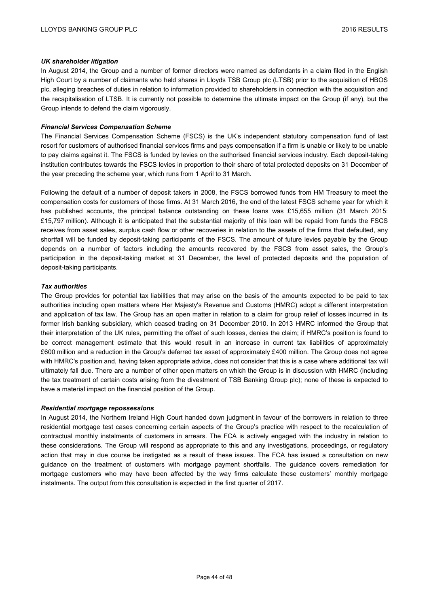## *UK shareholder litigation*

In August 2014, the Group and a number of former directors were named as defendants in a claim filed in the English High Court by a number of claimants who held shares in Lloyds TSB Group plc (LTSB) prior to the acquisition of HBOS plc, alleging breaches of duties in relation to information provided to shareholders in connection with the acquisition and the recapitalisation of LTSB. It is currently not possible to determine the ultimate impact on the Group (if any), but the Group intends to defend the claim vigorously.

## *Financial Services Compensation Scheme*

The Financial Services Compensation Scheme (FSCS) is the UK's independent statutory compensation fund of last resort for customers of authorised financial services firms and pays compensation if a firm is unable or likely to be unable to pay claims against it. The FSCS is funded by levies on the authorised financial services industry. Each deposit-taking institution contributes towards the FSCS levies in proportion to their share of total protected deposits on 31 December of the year preceding the scheme year, which runs from 1 April to 31 March.

Following the default of a number of deposit takers in 2008, the FSCS borrowed funds from HM Treasury to meet the compensation costs for customers of those firms. At 31 March 2016, the end of the latest FSCS scheme year for which it has published accounts, the principal balance outstanding on these loans was £15,655 million (31 March 2015: £15,797 million). Although it is anticipated that the substantial majority of this loan will be repaid from funds the FSCS receives from asset sales, surplus cash flow or other recoveries in relation to the assets of the firms that defaulted, any shortfall will be funded by deposit-taking participants of the FSCS. The amount of future levies payable by the Group depends on a number of factors including the amounts recovered by the FSCS from asset sales, the Group's participation in the deposit-taking market at 31 December, the level of protected deposits and the population of deposit-taking participants.

## *Tax authorities*

The Group provides for potential tax liabilities that may arise on the basis of the amounts expected to be paid to tax authorities including open matters where Her Majesty's Revenue and Customs (HMRC) adopt a different interpretation and application of tax law. The Group has an open matter in relation to a claim for group relief of losses incurred in its former Irish banking subsidiary, which ceased trading on 31 December 2010. In 2013 HMRC informed the Group that their interpretation of the UK rules, permitting the offset of such losses, denies the claim; if HMRC's position is found to be correct management estimate that this would result in an increase in current tax liabilities of approximately £600 million and a reduction in the Group's deferred tax asset of approximately £400 million. The Group does not agree with HMRC's position and, having taken appropriate advice, does not consider that this is a case where additional tax will ultimately fall due. There are a number of other open matters on which the Group is in discussion with HMRC (including the tax treatment of certain costs arising from the divestment of TSB Banking Group plc); none of these is expected to have a material impact on the financial position of the Group.

## *Residential mortgage repossessions*

In August 2014, the Northern Ireland High Court handed down judgment in favour of the borrowers in relation to three residential mortgage test cases concerning certain aspects of the Group's practice with respect to the recalculation of contractual monthly instalments of customers in arrears. The FCA is actively engaged with the industry in relation to these considerations. The Group will respond as appropriate to this and any investigations, proceedings, or regulatory action that may in due course be instigated as a result of these issues. The FCA has issued a consultation on new guidance on the treatment of customers with mortgage payment shortfalls. The guidance covers remediation for mortgage customers who may have been affected by the way firms calculate these customers' monthly mortgage instalments. The output from this consultation is expected in the first quarter of 2017.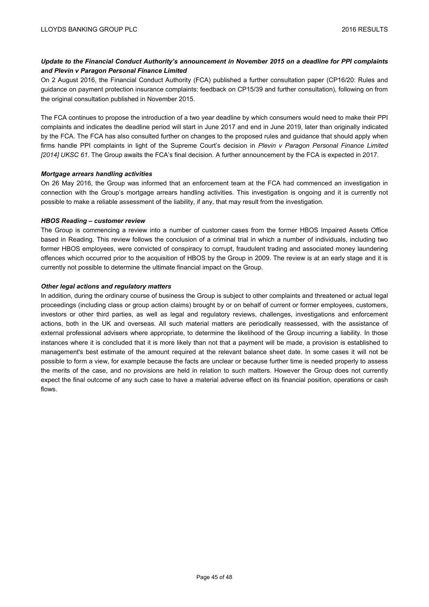# *Update to the Financial Conduct Authority's announcement in November 2015 on a deadline for PPI complaints and Plevin v Paragon Personal Finance Limited*

On 2 August 2016, the Financial Conduct Authority (FCA) published a further consultation paper (CP16/20: Rules and guidance on payment protection insurance complaints: feedback on CP15/39 and further consultation), following on from the original consultation published in November 2015.

The FCA continues to propose the introduction of a two year deadline by which consumers would need to make their PPI complaints and indicates the deadline period will start in June 2017 and end in June 2019, later than originally indicated by the FCA. The FCA has also consulted further on changes to the proposed rules and guidance that should apply when firms handle PPI complaints in light of the Supreme Court's decision in *Plevin v Paragon Personal Finance Limited [2014] UKSC 61*. The Group awaits the FCA's final decision. A further announcement by the FCA is expected in 2017.

## *Mortgage arrears handling activities*

On 26 May 2016, the Group was informed that an enforcement team at the FCA had commenced an investigation in connection with the Group's mortgage arrears handling activities. This investigation is ongoing and it is currently not possible to make a reliable assessment of the liability, if any, that may result from the investigation.

## *HBOS Reading – customer review*

The Group is commencing a review into a number of customer cases from the former HBOS Impaired Assets Office based in Reading. This review follows the conclusion of a criminal trial in which a number of individuals, including two former HBOS employees, were convicted of conspiracy to corrupt, fraudulent trading and associated money laundering offences which occurred prior to the acquisition of HBOS by the Group in 2009. The review is at an early stage and it is currently not possible to determine the ultimate financial impact on the Group.

## *Other legal actions and regulatory matters*

In addition, during the ordinary course of business the Group is subject to other complaints and threatened or actual legal proceedings (including class or group action claims) brought by or on behalf of current or former employees, customers, investors or other third parties, as well as legal and regulatory reviews, challenges, investigations and enforcement actions, both in the UK and overseas. All such material matters are periodically reassessed, with the assistance of external professional advisers where appropriate, to determine the likelihood of the Group incurring a liability. In those instances where it is concluded that it is more likely than not that a payment will be made, a provision is established to management's best estimate of the amount required at the relevant balance sheet date. In some cases it will not be possible to form a view, for example because the facts are unclear or because further time is needed properly to assess the merits of the case, and no provisions are held in relation to such matters. However the Group does not currently expect the final outcome of any such case to have a material adverse effect on its financial position, operations or cash flows.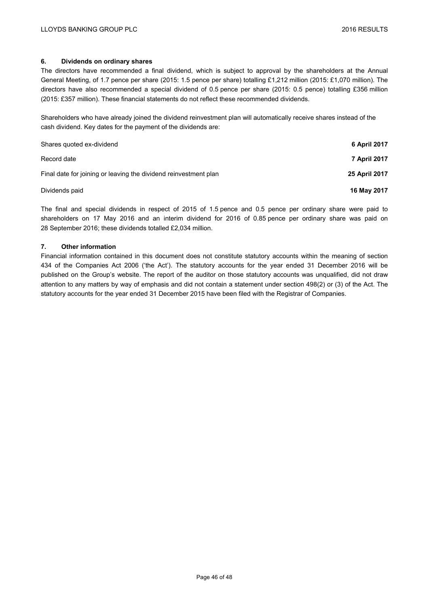## **6. Dividends on ordinary shares**

The directors have recommended a final dividend, which is subject to approval by the shareholders at the Annual General Meeting, of 1.7 pence per share (2015: 1.5 pence per share) totalling £1,212 million (2015: £1,070 million). The directors have also recommended a special dividend of 0.5 pence per share (2015: 0.5 pence) totalling £356 million (2015: £357 million). These financial statements do not reflect these recommended dividends.

Shareholders who have already joined the dividend reinvestment plan will automatically receive shares instead of the cash dividend. Key dates for the payment of the dividends are:

| Shares quoted ex-dividend                                        | 6 April 2017  |
|------------------------------------------------------------------|---------------|
| Record date                                                      | 7 April 2017  |
| Final date for joining or leaving the dividend reinvestment plan | 25 April 2017 |
| Dividends paid                                                   | 16 May 2017   |

The final and special dividends in respect of 2015 of 1.5 pence and 0.5 pence per ordinary share were paid to shareholders on 17 May 2016 and an interim dividend for 2016 of 0.85 pence per ordinary share was paid on 28 September 2016; these dividends totalled £2,034 million.

## **7. Other information**

Financial information contained in this document does not constitute statutory accounts within the meaning of section 434 of the Companies Act 2006 ('the Act'). The statutory accounts for the year ended 31 December 2016 will be published on the Group's website. The report of the auditor on those statutory accounts was unqualified, did not draw attention to any matters by way of emphasis and did not contain a statement under section 498(2) or (3) of the Act. The statutory accounts for the year ended 31 December 2015 have been filed with the Registrar of Companies.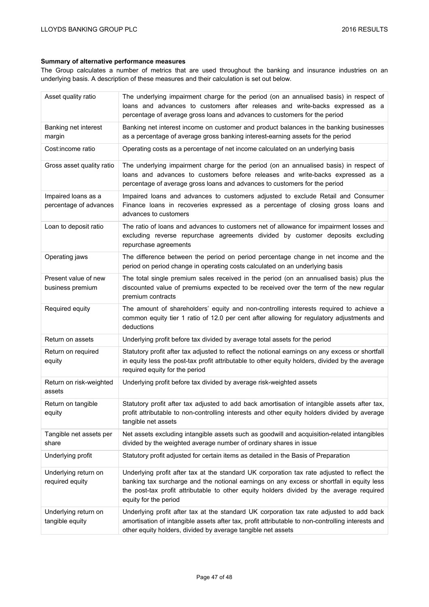# **Summary of alternative performance measures**

The Group calculates a number of metrics that are used throughout the banking and insurance industries on an underlying basis. A description of these measures and their calculation is set out below.

| Asset quality ratio                           | The underlying impairment charge for the period (on an annualised basis) in respect of<br>loans and advances to customers after releases and write-backs expressed as a<br>percentage of average gross loans and advances to customers for the period                                                         |
|-----------------------------------------------|---------------------------------------------------------------------------------------------------------------------------------------------------------------------------------------------------------------------------------------------------------------------------------------------------------------|
| Banking net interest<br>margin                | Banking net interest income on customer and product balances in the banking businesses<br>as a percentage of average gross banking interest-earning assets for the period                                                                                                                                     |
| Cost:income ratio                             | Operating costs as a percentage of net income calculated on an underlying basis                                                                                                                                                                                                                               |
| Gross asset quality ratio                     | The underlying impairment charge for the period (on an annualised basis) in respect of<br>loans and advances to customers before releases and write-backs expressed as a<br>percentage of average gross loans and advances to customers for the period                                                        |
| Impaired loans as a<br>percentage of advances | Impaired loans and advances to customers adjusted to exclude Retail and Consumer<br>Finance loans in recoveries expressed as a percentage of closing gross loans and<br>advances to customers                                                                                                                 |
| Loan to deposit ratio                         | The ratio of loans and advances to customers net of allowance for impairment losses and<br>excluding reverse repurchase agreements divided by customer deposits excluding<br>repurchase agreements                                                                                                            |
| Operating jaws                                | The difference between the period on period percentage change in net income and the<br>period on period change in operating costs calculated on an underlying basis                                                                                                                                           |
| Present value of new<br>business premium      | The total single premium sales received in the period (on an annualised basis) plus the<br>discounted value of premiums expected to be received over the term of the new regular<br>premium contracts                                                                                                         |
| Required equity                               | The amount of shareholders' equity and non-controlling interests required to achieve a<br>common equity tier 1 ratio of 12.0 per cent after allowing for regulatory adjustments and<br>deductions                                                                                                             |
| Return on assets                              | Underlying profit before tax divided by average total assets for the period                                                                                                                                                                                                                                   |
| Return on required<br>equity                  | Statutory profit after tax adjusted to reflect the notional earnings on any excess or shortfall<br>in equity less the post-tax profit attributable to other equity holders, divided by the average<br>required equity for the period                                                                          |
| Return on risk-weighted<br>assets             | Underlying profit before tax divided by average risk-weighted assets                                                                                                                                                                                                                                          |
| Return on tangible<br>equity                  | Statutory profit after tax adjusted to add back amortisation of intangible assets after tax,<br>profit attributable to non-controlling interests and other equity holders divided by average<br>tangible net assets                                                                                           |
| Tangible net assets per<br>share              | Net assets excluding intangible assets such as goodwill and acquisition-related intangibles<br>divided by the weighted average number of ordinary shares in issue                                                                                                                                             |
| Underlying profit                             | Statutory profit adjusted for certain items as detailed in the Basis of Preparation                                                                                                                                                                                                                           |
| Underlying return on<br>required equity       | Underlying profit after tax at the standard UK corporation tax rate adjusted to reflect the<br>banking tax surcharge and the notional earnings on any excess or shortfall in equity less<br>the post-tax profit attributable to other equity holders divided by the average required<br>equity for the period |
| Underlying return on<br>tangible equity       | Underlying profit after tax at the standard UK corporation tax rate adjusted to add back<br>amortisation of intangible assets after tax, profit attributable to non-controlling interests and<br>other equity holders, divided by average tangible net assets                                                 |